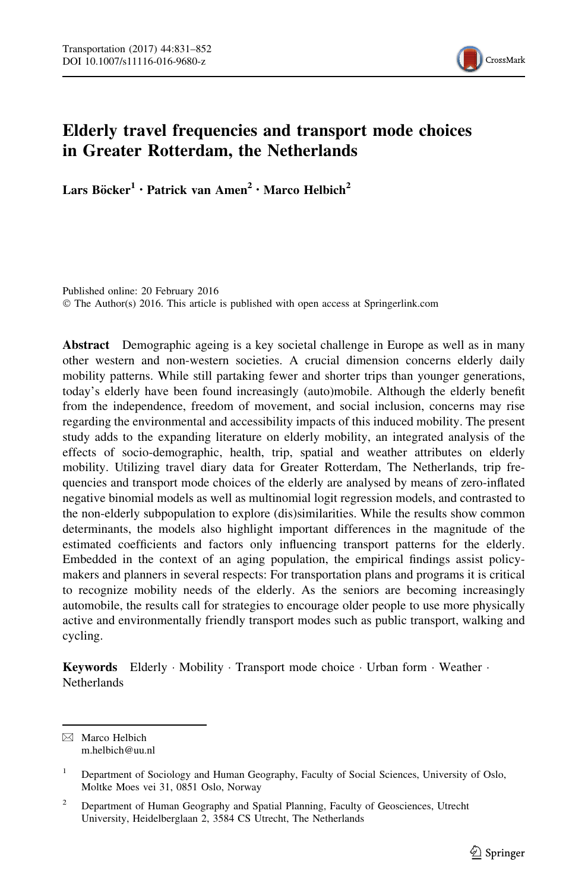

# Elderly travel frequencies and transport mode choices in Greater Rotterdam, the Netherlands

Lars Böcker<sup>1</sup> · Patrick van Amen<sup>2</sup> · Marco Helbich<sup>2</sup>

Published online: 20 February 2016 © The Author(s) 2016. This article is published with open access at Springerlink.com

Abstract Demographic ageing is a key societal challenge in Europe as well as in many other western and non-western societies. A crucial dimension concerns elderly daily mobility patterns. While still partaking fewer and shorter trips than younger generations, today's elderly have been found increasingly (auto)mobile. Although the elderly benefit from the independence, freedom of movement, and social inclusion, concerns may rise regarding the environmental and accessibility impacts of this induced mobility. The present study adds to the expanding literature on elderly mobility, an integrated analysis of the effects of socio-demographic, health, trip, spatial and weather attributes on elderly mobility. Utilizing travel diary data for Greater Rotterdam, The Netherlands, trip frequencies and transport mode choices of the elderly are analysed by means of zero-inflated negative binomial models as well as multinomial logit regression models, and contrasted to the non-elderly subpopulation to explore (dis)similarities. While the results show common determinants, the models also highlight important differences in the magnitude of the estimated coefficients and factors only influencing transport patterns for the elderly. Embedded in the context of an aging population, the empirical findings assist policymakers and planners in several respects: For transportation plans and programs it is critical to recognize mobility needs of the elderly. As the seniors are becoming increasingly automobile, the results call for strategies to encourage older people to use more physically active and environmentally friendly transport modes such as public transport, walking and cycling.

Keywords Elderly · Mobility · Transport mode choice · Urban form · Weather · Netherlands

 $\boxtimes$  Marco Helbich m.helbich@uu.nl

<sup>&</sup>lt;sup>1</sup> Department of Sociology and Human Geography, Faculty of Social Sciences, University of Oslo, Moltke Moes vei 31, 0851 Oslo, Norway

<sup>&</sup>lt;sup>2</sup> Department of Human Geography and Spatial Planning, Faculty of Geosciences, Utrecht University, Heidelberglaan 2, 3584 CS Utrecht, The Netherlands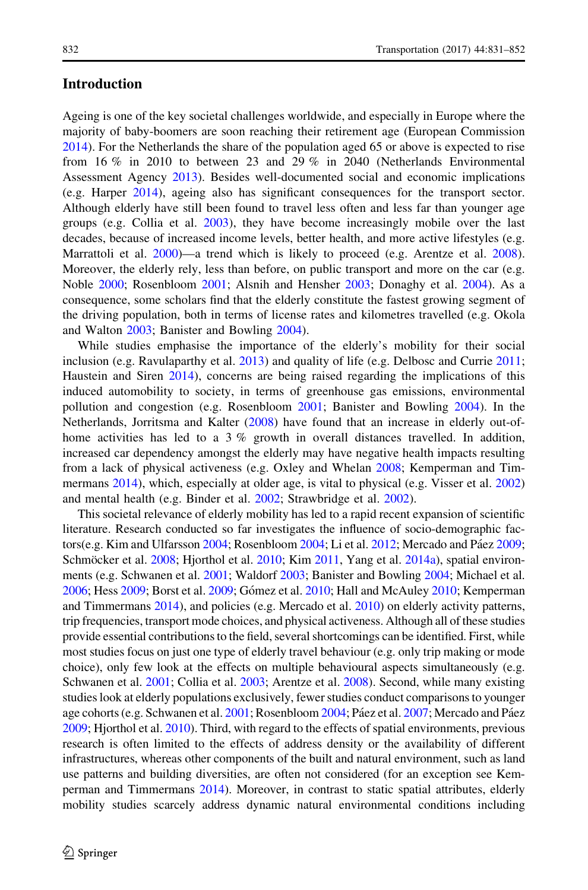## Introduction

Ageing is one of the key societal challenges worldwide, and especially in Europe where the majority of baby-boomers are soon reaching their retirement age (European Commission [2014\)](#page-18-0). For the Netherlands the share of the population aged 65 or above is expected to rise from 16 % in 2010 to between 23 and 29 % in 2040 (Netherlands Environmental Assessment Agency [2013\)](#page-19-0). Besides well-documented social and economic implications (e.g. Harper [2014](#page-19-0)), ageing also has significant consequences for the transport sector. Although elderly have still been found to travel less often and less far than younger age groups (e.g. Collia et al. [2003](#page-18-0)), they have become increasingly mobile over the last decades, because of increased income levels, better health, and more active lifestyles (e.g. Marrattoli et al. [2000](#page-19-0))—a trend which is likely to proceed (e.g. Arentze et al. [2008](#page-18-0)). Moreover, the elderly rely, less than before, on public transport and more on the car (e.g. Noble [2000;](#page-19-0) Rosenbloom [2001;](#page-20-0) Alsnih and Hensher [2003](#page-18-0); Donaghy et al. [2004\)](#page-18-0). As a consequence, some scholars find that the elderly constitute the fastest growing segment of the driving population, both in terms of license rates and kilometres travelled (e.g. Okola and Walton [2003;](#page-20-0) Banister and Bowling [2004\)](#page-18-0).

While studies emphasise the importance of the elderly's mobility for their social inclusion (e.g. Ravulaparthy et al. [2013\)](#page-20-0) and quality of life (e.g. Delbosc and Currie [2011;](#page-18-0) Haustein and Siren [2014](#page-19-0)), concerns are being raised regarding the implications of this induced automobility to society, in terms of greenhouse gas emissions, environmental pollution and congestion (e.g. Rosenbloom [2001;](#page-20-0) Banister and Bowling [2004\)](#page-18-0). In the Netherlands, Jorritsma and Kalter ([2008\)](#page-19-0) have found that an increase in elderly out-ofhome activities has led to a 3 % growth in overall distances travelled. In addition, increased car dependency amongst the elderly may have negative health impacts resulting from a lack of physical activeness (e.g. Oxley and Whelan [2008](#page-20-0); Kemperman and Timmermans [2014](#page-19-0)), which, especially at older age, is vital to physical (e.g. Visser et al. [2002](#page-20-0)) and mental health (e.g. Binder et al. [2002](#page-18-0); Strawbridge et al. [2002](#page-20-0)).

This societal relevance of elderly mobility has led to a rapid recent expansion of scientific literature. Research conducted so far investigates the influence of socio-demographic fac-tors(e.g. Kim and Ulfarsson [2004](#page-19-0); Rosenbloom [2004;](#page-20-0) Li et al. [2012](#page-19-0); Mercado and Páez [2009;](#page-19-0) Schmöcker et al. [2008](#page-20-0); Hjorthol et al. [2010;](#page-19-0) Kim [2011,](#page-19-0) Yang et al. [2014a\)](#page-21-0), spatial environments (e.g. Schwanen et al. [2001;](#page-20-0) Waldorf [2003](#page-20-0); Banister and Bowling [2004](#page-18-0); Michael et al. [2006](#page-19-0); Hess [2009;](#page-18-0) Borst et al. 2009; Gómez et al. [2010](#page-18-0); Hall and McAuley [2010;](#page-19-0) Kemperman and Timmermans [2014](#page-19-0)), and policies (e.g. Mercado et al. [2010](#page-19-0)) on elderly activity patterns, trip frequencies, transport mode choices, and physical activeness. Although all of these studies provide essential contributions to the field, several shortcomings can be identified. First, while most studies focus on just one type of elderly travel behaviour (e.g. only trip making or mode choice), only few look at the effects on multiple behavioural aspects simultaneously (e.g. Schwanen et al. [2001;](#page-20-0) Collia et al. [2003](#page-18-0); Arentze et al. [2008\)](#page-18-0). Second, while many existing studies look at elderly populations exclusively, fewer studies conduct comparisons to younger age cohorts (e.g. Schwanen et al. [2001;](#page-20-0) Rosenbloom [2004;](#page-20-0) Páez et al. [2007](#page-20-0); Mercado and Páez [2009](#page-19-0); Hjorthol et al. [2010](#page-19-0)). Third, with regard to the effects of spatial environments, previous research is often limited to the effects of address density or the availability of different infrastructures, whereas other components of the built and natural environment, such as land use patterns and building diversities, are often not considered (for an exception see Kemperman and Timmermans [2014\)](#page-19-0). Moreover, in contrast to static spatial attributes, elderly mobility studies scarcely address dynamic natural environmental conditions including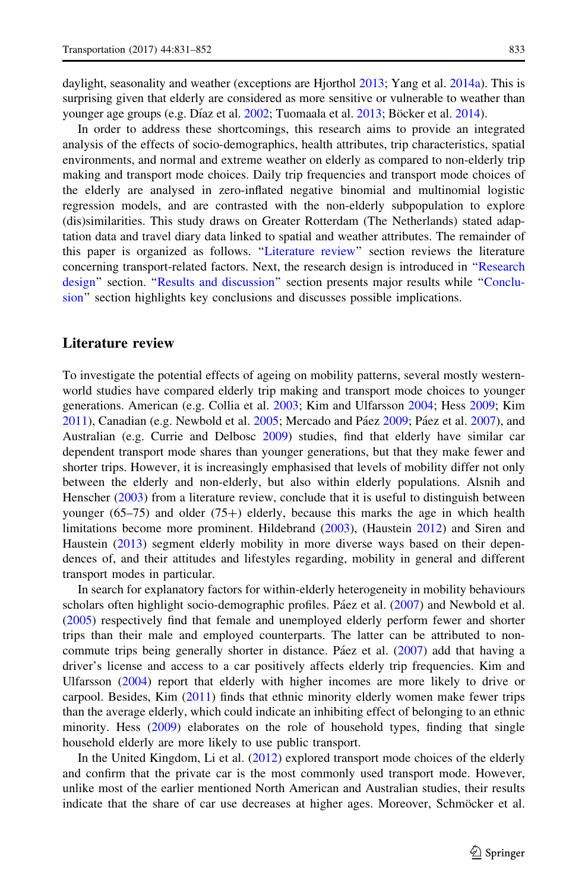daylight, seasonality and weather (exceptions are Hjorthol [2013](#page-19-0); Yang et al. [2014a](#page-21-0)). This is surprising given that elderly are considered as more sensitive or vulnerable to weather than younger age groups (e.g. Díaz et al. [2002](#page-18-0); Tuomaala et al. [2013](#page-20-0); Böcker et al. [2014](#page-18-0)).

In order to address these shortcomings, this research aims to provide an integrated analysis of the effects of socio-demographics, health attributes, trip characteristics, spatial environments, and normal and extreme weather on elderly as compared to non-elderly trip making and transport mode choices. Daily trip frequencies and transport mode choices of the elderly are analysed in zero-inflated negative binomial and multinomial logistic regression models, and are contrasted with the non-elderly subpopulation to explore (dis)similarities. This study draws on Greater Rotterdam (The Netherlands) stated adaptation data and travel diary data linked to spatial and weather attributes. The remainder of this paper is organized as follows. "Literature review" section reviews the literature concerning transport-related factors. Next, the research design is introduced in ''[Research](#page-4-0) [design](#page-4-0)'' section. ''[Results and discussion](#page-9-0)'' section presents major results while '['Conclu](#page-16-0)sion" section highlights key conclusions and discusses possible implications.

### Literature review

To investigate the potential effects of ageing on mobility patterns, several mostly westernworld studies have compared elderly trip making and transport mode choices to younger generations. American (e.g. Collia et al. [2003](#page-18-0); Kim and Ulfarsson [2004](#page-19-0); Hess [2009](#page-19-0); Kim  $2011$ ), Canadian (e.g. Newbold et al.  $2005$ ; Mercado and Páez  $2009$ ; Páez et al.  $2007$ ), and Australian (e.g. Currie and Delbosc [2009](#page-18-0)) studies, find that elderly have similar car dependent transport mode shares than younger generations, but that they make fewer and shorter trips. However, it is increasingly emphasised that levels of mobility differ not only between the elderly and non-elderly, but also within elderly populations. Alsnih and Henscher [\(2003](#page-18-0)) from a literature review, conclude that it is useful to distinguish between younger (65–75) and older (75+) elderly, because this marks the age in which health limitations become more prominent. Hildebrand ([2003\)](#page-19-0), (Haustein [2012\)](#page-19-0) and Siren and Haustein ([2013\)](#page-20-0) segment elderly mobility in more diverse ways based on their dependences of, and their attitudes and lifestyles regarding, mobility in general and different transport modes in particular.

In search for explanatory factors for within-elderly heterogeneity in mobility behaviours scholars often highlight socio-demographic profiles. Páez et al. ([2007\)](#page-20-0) and Newbold et al. ([2005\)](#page-19-0) respectively find that female and unemployed elderly perform fewer and shorter trips than their male and employed counterparts. The latter can be attributed to noncommute trips being generally shorter in distance. Pa $\acute{e}$  et al. [\(2007](#page-20-0)) add that having a driver's license and access to a car positively affects elderly trip frequencies. Kim and Ulfarsson [\(2004](#page-19-0)) report that elderly with higher incomes are more likely to drive or carpool. Besides, Kim [\(2011](#page-19-0)) finds that ethnic minority elderly women make fewer trips than the average elderly, which could indicate an inhibiting effect of belonging to an ethnic minority. Hess [\(2009](#page-19-0)) elaborates on the role of household types, finding that single household elderly are more likely to use public transport.

In the United Kingdom, Li et al. ([2012\)](#page-19-0) explored transport mode choices of the elderly and confirm that the private car is the most commonly used transport mode. However, unlike most of the earlier mentioned North American and Australian studies, their results indicate that the share of car use decreases at higher ages. Moreover, Schmöcker et al.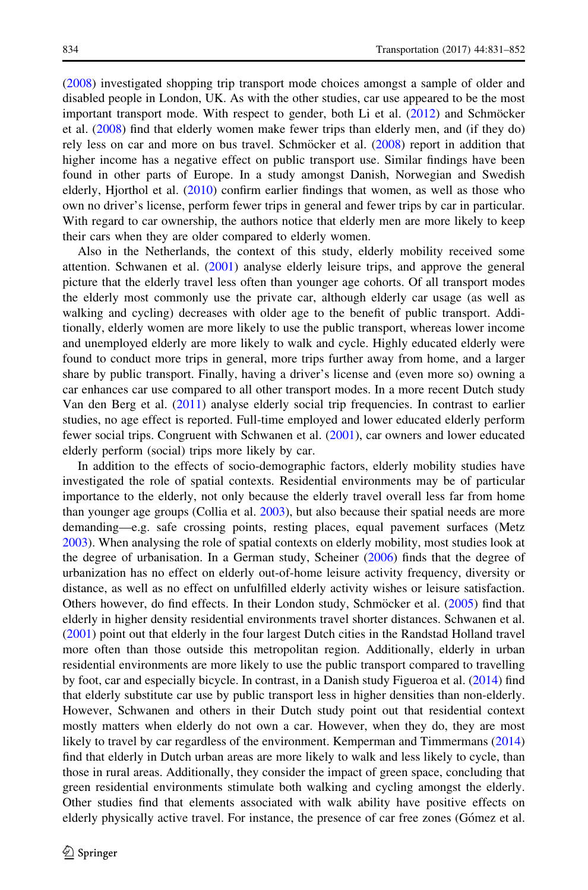([2008\)](#page-20-0) investigated shopping trip transport mode choices amongst a sample of older and disabled people in London, UK. As with the other studies, car use appeared to be the most important transport mode. With respect to gender, both Li et al.  $(2012)$  $(2012)$  and Schmöcker et al. [\(2008](#page-20-0)) find that elderly women make fewer trips than elderly men, and (if they do) rely less on car and more on bus travel. Schmöcker et al. ([2008\)](#page-20-0) report in addition that higher income has a negative effect on public transport use. Similar findings have been found in other parts of Europe. In a study amongst Danish, Norwegian and Swedish elderly, Hjorthol et al. [\(2010](#page-19-0)) confirm earlier findings that women, as well as those who own no driver's license, perform fewer trips in general and fewer trips by car in particular. With regard to car ownership, the authors notice that elderly men are more likely to keep their cars when they are older compared to elderly women.

Also in the Netherlands, the context of this study, elderly mobility received some attention. Schwanen et al. [\(2001](#page-20-0)) analyse elderly leisure trips, and approve the general picture that the elderly travel less often than younger age cohorts. Of all transport modes the elderly most commonly use the private car, although elderly car usage (as well as walking and cycling) decreases with older age to the benefit of public transport. Additionally, elderly women are more likely to use the public transport, whereas lower income and unemployed elderly are more likely to walk and cycle. Highly educated elderly were found to conduct more trips in general, more trips further away from home, and a larger share by public transport. Finally, having a driver's license and (even more so) owning a car enhances car use compared to all other transport modes. In a more recent Dutch study Van den Berg et al. [\(2011\)](#page-20-0) analyse elderly social trip frequencies. In contrast to earlier studies, no age effect is reported. Full-time employed and lower educated elderly perform fewer social trips. Congruent with Schwanen et al. ([2001](#page-20-0)), car owners and lower educated elderly perform (social) trips more likely by car.

In addition to the effects of socio-demographic factors, elderly mobility studies have investigated the role of spatial contexts. Residential environments may be of particular importance to the elderly, not only because the elderly travel overall less far from home than younger age groups (Collia et al. [2003](#page-18-0)), but also because their spatial needs are more demanding—e.g. safe crossing points, resting places, equal pavement surfaces (Metz [2003\)](#page-19-0). When analysing the role of spatial contexts on elderly mobility, most studies look at the degree of urbanisation. In a German study, Scheiner [\(2006](#page-20-0)) finds that the degree of urbanization has no effect on elderly out-of-home leisure activity frequency, diversity or distance, as well as no effect on unfulfilled elderly activity wishes or leisure satisfaction. Others however, do find effects. In their London study, Schmöcker et al. [\(2005](#page-20-0)) find that elderly in higher density residential environments travel shorter distances. Schwanen et al. ([2001\)](#page-20-0) point out that elderly in the four largest Dutch cities in the Randstad Holland travel more often than those outside this metropolitan region. Additionally, elderly in urban residential environments are more likely to use the public transport compared to travelling by foot, car and especially bicycle. In contrast, in a Danish study Figueroa et al. ([2014](#page-18-0)) find that elderly substitute car use by public transport less in higher densities than non-elderly. However, Schwanen and others in their Dutch study point out that residential context mostly matters when elderly do not own a car. However, when they do, they are most likely to travel by car regardless of the environment. Kemperman and Timmermans ([2014](#page-19-0)) find that elderly in Dutch urban areas are more likely to walk and less likely to cycle, than those in rural areas. Additionally, they consider the impact of green space, concluding that green residential environments stimulate both walking and cycling amongst the elderly. Other studies find that elements associated with walk ability have positive effects on elderly physically active travel. For instance, the presence of car free zones (Gómez et al.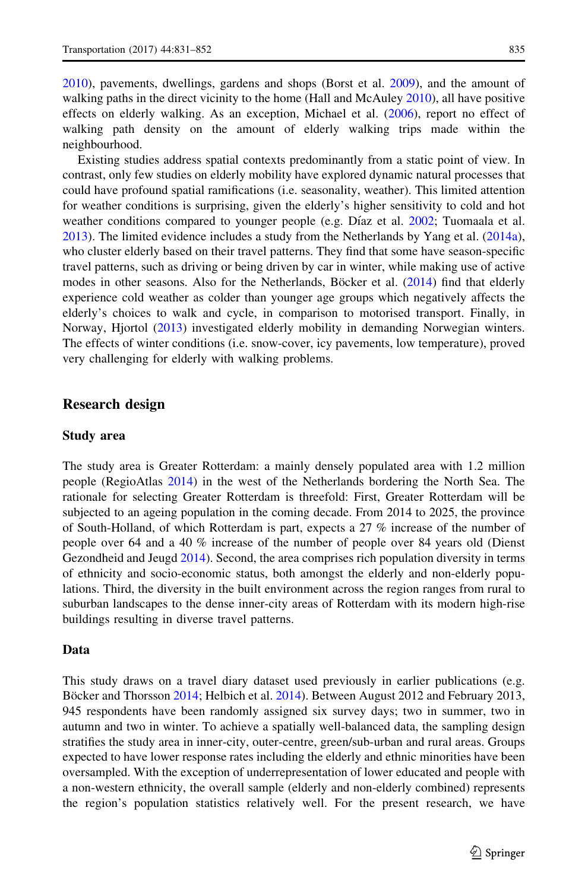<span id="page-4-0"></span>[2010\)](#page-18-0), pavements, dwellings, gardens and shops (Borst et al. [2009](#page-18-0)), and the amount of walking paths in the direct vicinity to the home (Hall and McAuley [2010\)](#page-19-0), all have positive effects on elderly walking. As an exception, Michael et al. [\(2006](#page-19-0)), report no effect of walking path density on the amount of elderly walking trips made within the neighbourhood.

Existing studies address spatial contexts predominantly from a static point of view. In contrast, only few studies on elderly mobility have explored dynamic natural processes that could have profound spatial ramifications (i.e. seasonality, weather). This limited attention for weather conditions is surprising, given the elderly's higher sensitivity to cold and hot weather conditions compared to younger people (e.g. Díaz et al. [2002;](#page-18-0) Tuomaala et al. [2013\)](#page-20-0). The limited evidence includes a study from the Netherlands by Yang et al. ([2014a](#page-21-0)), who cluster elderly based on their travel patterns. They find that some have season-specific travel patterns, such as driving or being driven by car in winter, while making use of active modes in other seasons. Also for the Netherlands, Böcker et al. [\(2014](#page-18-0)) find that elderly experience cold weather as colder than younger age groups which negatively affects the elderly's choices to walk and cycle, in comparison to motorised transport. Finally, in Norway, Hjortol ([2013\)](#page-19-0) investigated elderly mobility in demanding Norwegian winters. The effects of winter conditions (i.e. snow-cover, icy pavements, low temperature), proved very challenging for elderly with walking problems.

#### Research design

#### Study area

The study area is Greater Rotterdam: a mainly densely populated area with 1.2 million people (RegioAtlas [2014](#page-20-0)) in the west of the Netherlands bordering the North Sea. The rationale for selecting Greater Rotterdam is threefold: First, Greater Rotterdam will be subjected to an ageing population in the coming decade. From 2014 to 2025, the province of South-Holland, of which Rotterdam is part, expects a 27 % increase of the number of people over 64 and a 40 % increase of the number of people over 84 years old (Dienst Gezondheid and Jeugd [2014\)](#page-18-0). Second, the area comprises rich population diversity in terms of ethnicity and socio-economic status, both amongst the elderly and non-elderly populations. Third, the diversity in the built environment across the region ranges from rural to suburban landscapes to the dense inner-city areas of Rotterdam with its modern high-rise buildings resulting in diverse travel patterns.

#### Data

This study draws on a travel diary dataset used previously in earlier publications (e.g. Böcker and Thorsson [2014;](#page-18-0) Helbich et al. [2014](#page-19-0)). Between August 2012 and February 2013, 945 respondents have been randomly assigned six survey days; two in summer, two in autumn and two in winter. To achieve a spatially well-balanced data, the sampling design stratifies the study area in inner-city, outer-centre, green/sub-urban and rural areas. Groups expected to have lower response rates including the elderly and ethnic minorities have been oversampled. With the exception of underrepresentation of lower educated and people with a non-western ethnicity, the overall sample (elderly and non-elderly combined) represents the region's population statistics relatively well. For the present research, we have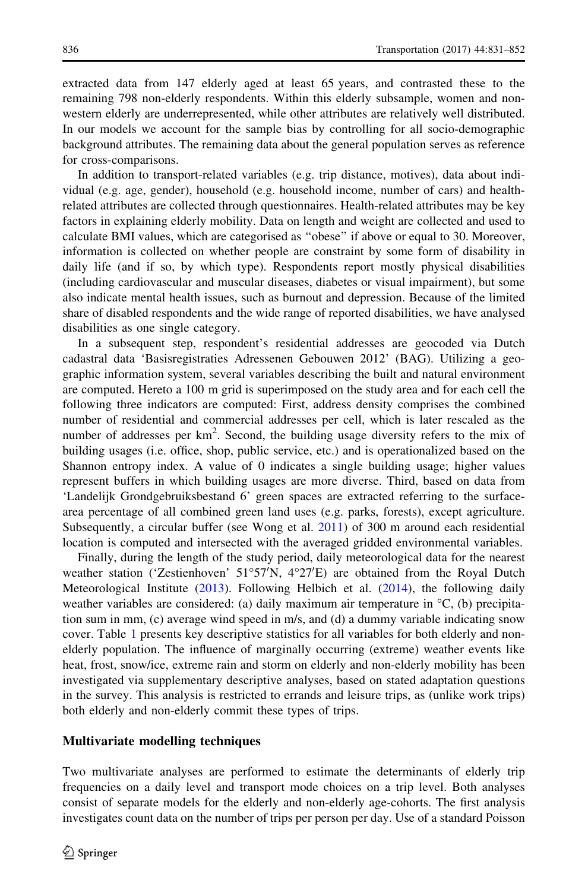extracted data from 147 elderly aged at least 65 years, and contrasted these to the remaining 798 non-elderly respondents. Within this elderly subsample, women and nonwestern elderly are underrepresented, while other attributes are relatively well distributed. In our models we account for the sample bias by controlling for all socio-demographic background attributes. The remaining data about the general population serves as reference for cross-comparisons.

In addition to transport-related variables (e.g. trip distance, motives), data about individual (e.g. age, gender), household (e.g. household income, number of cars) and healthrelated attributes are collected through questionnaires. Health-related attributes may be key factors in explaining elderly mobility. Data on length and weight are collected and used to calculate BMI values, which are categorised as ''obese'' if above or equal to 30. Moreover, information is collected on whether people are constraint by some form of disability in daily life (and if so, by which type). Respondents report mostly physical disabilities (including cardiovascular and muscular diseases, diabetes or visual impairment), but some also indicate mental health issues, such as burnout and depression. Because of the limited share of disabled respondents and the wide range of reported disabilities, we have analysed disabilities as one single category.

In a subsequent step, respondent's residential addresses are geocoded via Dutch cadastral data 'Basisregistraties Adressenen Gebouwen 2012' (BAG). Utilizing a geographic information system, several variables describing the built and natural environment are computed. Hereto a 100 m grid is superimposed on the study area and for each cell the following three indicators are computed: First, address density comprises the combined number of residential and commercial addresses per cell, which is later rescaled as the number of addresses per km<sup>2</sup>. Second, the building usage diversity refers to the mix of building usages (i.e. office, shop, public service, etc.) and is operationalized based on the Shannon entropy index. A value of 0 indicates a single building usage; higher values represent buffers in which building usages are more diverse. Third, based on data from 'Landelijk Grondgebruiksbestand 6' green spaces are extracted referring to the surfacearea percentage of all combined green land uses (e.g. parks, forests), except agriculture. Subsequently, a circular buffer (see Wong et al. [2011\)](#page-20-0) of 300 m around each residential location is computed and intersected with the averaged gridded environmental variables.

Finally, during the length of the study period, daily meteorological data for the nearest weather station ('Zestienhoven' 51°57'N, 4°27'E) are obtained from the Royal Dutch Meteorological Institute ([2013\)](#page-18-0). Following Helbich et al. ([2014\)](#page-19-0), the following daily weather variables are considered: (a) daily maximum air temperature in  $\mathrm{C}$ , (b) precipitation sum in mm, (c) average wind speed in m/s, and (d) a dummy variable indicating snow cover. Table [1](#page-6-0) presents key descriptive statistics for all variables for both elderly and nonelderly population. The influence of marginally occurring (extreme) weather events like heat, frost, snow/ice, extreme rain and storm on elderly and non-elderly mobility has been investigated via supplementary descriptive analyses, based on stated adaptation questions in the survey. This analysis is restricted to errands and leisure trips, as (unlike work trips) both elderly and non-elderly commit these types of trips.

#### Multivariate modelling techniques

Two multivariate analyses are performed to estimate the determinants of elderly trip frequencies on a daily level and transport mode choices on a trip level. Both analyses consist of separate models for the elderly and non-elderly age-cohorts. The first analysis investigates count data on the number of trips per person per day. Use of a standard Poisson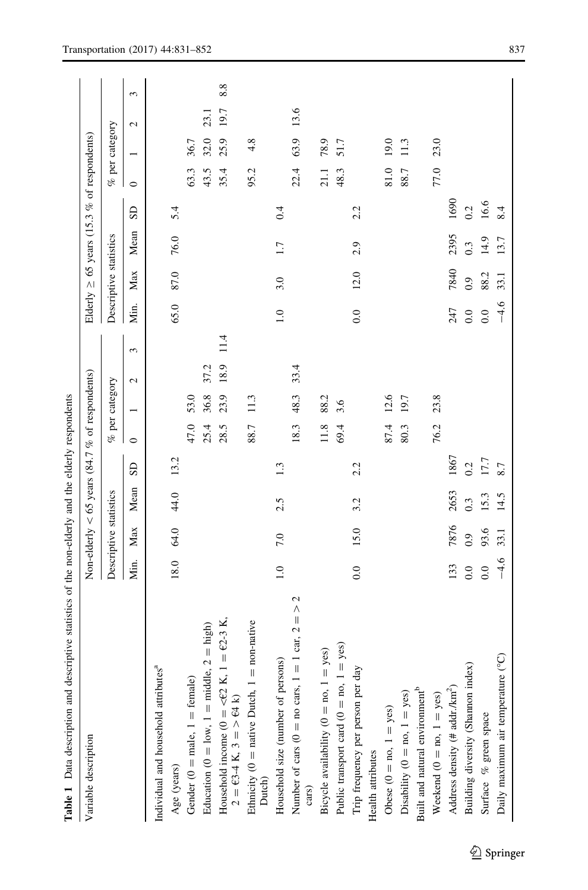| Table 1 Data description and descriptive statistics of the non-elderly and the elderly respondents |  |                                                |  |                |  |                        |                                                  |  |                 |  |
|----------------------------------------------------------------------------------------------------|--|------------------------------------------------|--|----------------|--|------------------------|--------------------------------------------------|--|-----------------|--|
| Variable description                                                                               |  | Non-elderly < 65 years (84.7 % of respondents) |  |                |  |                        | Filderly $\geq$ 65 years (15.3 % of respondents) |  |                 |  |
|                                                                                                    |  | Descriptive statistics                         |  | % per category |  | Descriptive statistics |                                                  |  | $%$ per categor |  |
|                                                                                                    |  | Min. Max Mean SD $0$ 1 2 3                     |  |                |  |                        | Min. Max Mean SD                                 |  |                 |  |

<span id="page-6-0"></span>

|                                                                                                                                                                                                                                              |        | Descriptive statistics |      |             |         | $%$ per category |               |      |         | Descriptive statistics |      |      |         | $%$ per category |               |     |
|----------------------------------------------------------------------------------------------------------------------------------------------------------------------------------------------------------------------------------------------|--------|------------------------|------|-------------|---------|------------------|---------------|------|---------|------------------------|------|------|---------|------------------|---------------|-----|
|                                                                                                                                                                                                                                              | Min.   | Max                    | Mean | $_{\rm SD}$ | $\circ$ |                  | $\mathcal{L}$ | 3    | Min.    | Max                    | Mean | GS   | $\circ$ |                  | $\mathcal{L}$ | 3   |
| Individual and household attributes <sup>a</sup>                                                                                                                                                                                             |        |                        |      |             |         |                  |               |      |         |                        |      |      |         |                  |               |     |
| Age (years)                                                                                                                                                                                                                                  | 18.0   | 64.0                   | 44.0 | 13.2        |         |                  |               |      | 65.0    | 87.0                   | 76.0 | 5.4  |         |                  |               |     |
| Gender $(0 = male, 1 = female)$                                                                                                                                                                                                              |        |                        |      |             | 47.0    | 53.0             |               |      |         |                        |      |      | 63.3    | 36.7             |               |     |
| Education ( $0 = \text{low}$ , $1 = \text{middle}$ , $2 = \text{high}$ )                                                                                                                                                                     |        |                        |      |             | 25.4    | 36.8             | 37.2          |      |         |                        |      |      | 43.5    | 32.0             | 23.1          |     |
| Household income $(0 = \langle \epsilon \rangle \mathbf{K}, 1 = \epsilon \cdot 3 \mathbf{K}, 2 = \epsilon \cdot 3 \cdot \mathbf{K}, 3 = \rangle$ $\epsilon$ $\epsilon$ $\mathbf{K}$ $\epsilon$ $\epsilon$ $\mathbf{K}$ $\epsilon$ $\epsilon$ |        |                        |      |             | 28.5    | 23.9             | 18.9          | 11.4 |         |                        |      |      | 35.4    | 25.9             | 19.7          | 8.8 |
| Ethnicity (0 = native Dutch, 1 = non-native<br>Dutch)                                                                                                                                                                                        |        |                        |      |             | 88.7    | 11.3             |               |      |         |                        |      |      | 95.2    | 4.8              |               |     |
| Household size (number of persons)                                                                                                                                                                                                           | 1.0    | 7.0                    | 2.5  | 1.3         |         |                  |               |      | 1.0     | 3.0                    | 1.7  | 0.4  |         |                  |               |     |
| $\mathbf{\Omega}$<br>$\wedge$<br>$= 1$ car, $2 =$<br>Number of cars $(0 = no \text{ cars}, 1$<br>cars)                                                                                                                                       |        |                        |      |             | 18.3    | 48.3             | 33.4          |      |         |                        |      |      | 22.4    | 63.9             | 13.6          |     |
| Bicycle availability ( $0 = \text{no}$ , $1 = \text{yes}$ )                                                                                                                                                                                  |        |                        |      |             | 11.8    | 88.2             |               |      |         |                        |      |      | 21.1    | 78.9             |               |     |
| $=$ yes)<br>Public transport card ( $0 =$ no, 1                                                                                                                                                                                              |        |                        |      |             | 69.4    | 3.6              |               |      |         |                        |      |      | 48.3    | 51.7             |               |     |
| Trip frequency per person per day                                                                                                                                                                                                            | 0.0    | 15.0                   | 3.2  | 2.2         |         |                  |               |      | 0.0     | 12.0                   | 2.9  | 2.2  |         |                  |               |     |
| Health attributes                                                                                                                                                                                                                            |        |                        |      |             |         |                  |               |      |         |                        |      |      |         |                  |               |     |
| Obese ( $0 =$ no, $1 =$ yes)                                                                                                                                                                                                                 |        |                        |      |             | 87.4    | 12.6             |               |      |         |                        |      |      | 81.0    | 19.0             |               |     |
| Disability ( $0 = no$ , $1 = yes$ )                                                                                                                                                                                                          |        |                        |      |             | 80.3    | 19.7             |               |      |         |                        |      |      | 88.7    | 11.3             |               |     |
| Built and natural environment <sup>b</sup>                                                                                                                                                                                                   |        |                        |      |             |         |                  |               |      |         |                        |      |      |         |                  |               |     |
| Weekend ( $0 = no$ , $1 = yes$ )                                                                                                                                                                                                             |        |                        |      |             | 76.2    | 23.8             |               |      |         |                        |      |      | 77.0    | 23.0             |               |     |
| Address density (# addr./km <sup>2</sup> )                                                                                                                                                                                                   | 133    | 7876                   | 2653 | 1867        |         |                  |               |      | 247     | 7840                   | 2395 | 1690 |         |                  |               |     |
| Building diversity (Shannon index)                                                                                                                                                                                                           | 0.0    | 6.0                    | 0.3  | 0.2         |         |                  |               |      | $0.0\,$ | 0.9                    | 0.3  | 0.2  |         |                  |               |     |
| Surface % green space                                                                                                                                                                                                                        | 0.0    | 93.6                   | 15.3 | 17.7        |         |                  |               |      | 0.0     | 88.2                   | 14.9 | 16.6 |         |                  |               |     |
| <u>ි</u><br>Daily maximum air temperature                                                                                                                                                                                                    | $-4.6$ | 33.1                   | 14.5 | 8.7         |         |                  |               |      | $-4.6$  | 33.1                   | 13.7 | 8.4  |         |                  |               |     |
|                                                                                                                                                                                                                                              |        |                        |      |             |         |                  |               |      |         |                        |      |      |         |                  |               |     |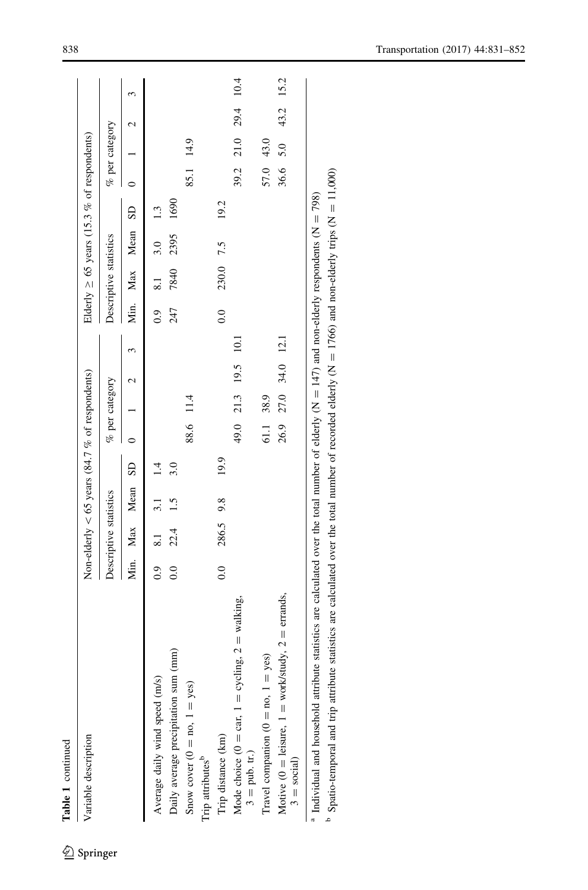| Table 1 continued                                                                                                                                          |            |                                                |     |         |                                       |                   |                     |   |               |                        |                  |                                                 |                                       |   |
|------------------------------------------------------------------------------------------------------------------------------------------------------------|------------|------------------------------------------------|-----|---------|---------------------------------------|-------------------|---------------------|---|---------------|------------------------|------------------|-------------------------------------------------|---------------------------------------|---|
| Variable description                                                                                                                                       |            | Non-elderly < 65 years (84.7 % of respondents) |     |         |                                       |                   |                     |   |               |                        |                  | Elderly $\geq$ 65 years (15.3 % of respondents) |                                       |   |
|                                                                                                                                                            |            | Descriptive statistics                         |     |         |                                       | $\%$ per category |                     |   |               | Descriptive statistics |                  |                                                 | $%$ per category                      |   |
|                                                                                                                                                            |            | Min. Max Mean SD                               |     |         | $\begin{bmatrix} 0 & 1 \end{bmatrix}$ |                   |                     | 3 |               |                        | Min. Max Mean SD |                                                 | $\begin{bmatrix} 0 & 1 \end{bmatrix}$ | 3 |
| Average daily wind speed (m/s)                                                                                                                             | $\ddot{0}$ | ್ದ                                             |     | اب<br>1 |                                       |                   |                     |   | $\frac{6}{2}$ |                        | 3.0              | $\frac{1}{3}$                                   |                                       |   |
| Daily average precipitation sum (mm)                                                                                                                       | 0.0        | 22.4                                           | 1.5 | 3.0     |                                       |                   |                     |   | 247           | 7840                   | 2395             | 1690                                            |                                       |   |
| Snow cover ( $0 = no$ , $1 = yes$ )                                                                                                                        |            |                                                |     |         |                                       | 88.6 11.4         |                     |   |               |                        |                  |                                                 | 85.1 14.9                             |   |
| Trip attributes <sup>b</sup>                                                                                                                               |            |                                                |     |         |                                       |                   |                     |   |               |                        |                  |                                                 |                                       |   |
| Trip distance (km)                                                                                                                                         | 0.0        | 286.5 9.8                                      |     | 19.9    |                                       |                   |                     |   | 0.0           | 230.0 7.5              |                  | 19.2                                            |                                       |   |
| Mode choice (0 = car, 1 = cycling, 2 = walking,<br>$3 =$ pub. tr.)                                                                                         |            |                                                |     |         |                                       |                   | 49.0 21.3 19.5 10.1 |   |               |                        |                  |                                                 | $39.2$ 21.0 29.4 10.4                 |   |
| Travel companion $(0 = no, 1 = yes)$                                                                                                                       |            |                                                |     |         | 61.1                                  | 38.9              |                     |   |               |                        |                  |                                                 | 57.0 43.0                             |   |
| $\delta$ /study, 2 = errands,<br>Motive ( $0 =$ leisure, $1 =$ work/<br>$3 = social$                                                                       |            |                                                |     |         |                                       |                   | 26.9 27.0 34.0 12.1 |   |               |                        |                  |                                                 | $36.6$ 5.0 43.2 15.2                  |   |
| <sup>a</sup> Individual and household attribute statistics are calculated over the total number of elderly (N = 147) and non-elderly respondents (N = 798) |            |                                                |     |         |                                       |                   |                     |   |               |                        |                  |                                                 |                                       |   |

 Spatio-temporal and trip attribute statistics are calculated over the total number of recorded elderly (N 1766) and non-elderly trips (N  $= 11,000$ 

b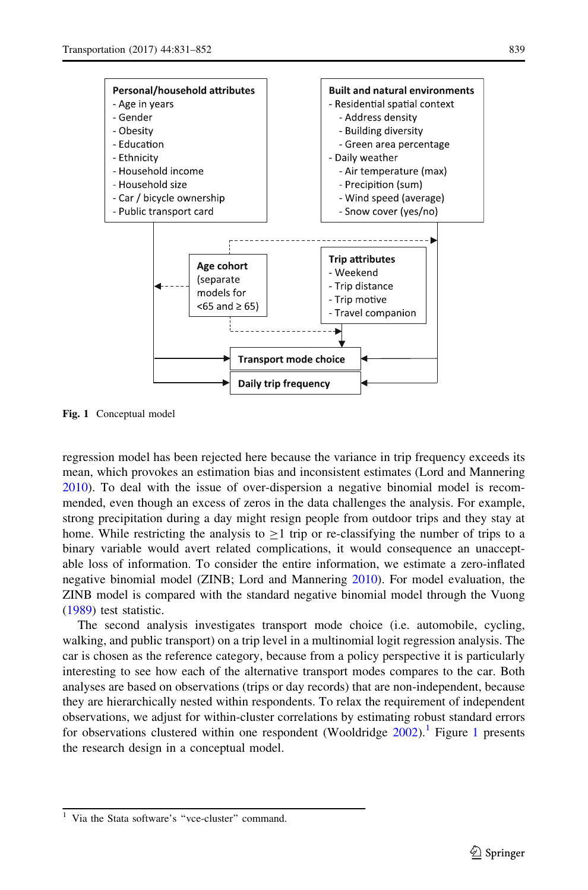

Fig. 1 Conceptual model

regression model has been rejected here because the variance in trip frequency exceeds its mean, which provokes an estimation bias and inconsistent estimates (Lord and Mannering [2010\)](#page-19-0). To deal with the issue of over-dispersion a negative binomial model is recommended, even though an excess of zeros in the data challenges the analysis. For example, strong precipitation during a day might resign people from outdoor trips and they stay at home. While restricting the analysis to  $\geq 1$  trip or re-classifying the number of trips to a binary variable would avert related complications, it would consequence an unacceptable loss of information. To consider the entire information, we estimate a zero-inflated negative binomial model (ZINB; Lord and Mannering [2010](#page-19-0)). For model evaluation, the ZINB model is compared with the standard negative binomial model through the Vuong ([1989\)](#page-20-0) test statistic.

The second analysis investigates transport mode choice (i.e. automobile, cycling, walking, and public transport) on a trip level in a multinomial logit regression analysis. The car is chosen as the reference category, because from a policy perspective it is particularly interesting to see how each of the alternative transport modes compares to the car. Both analyses are based on observations (trips or day records) that are non-independent, because they are hierarchically nested within respondents. To relax the requirement of independent observations, we adjust for within-cluster correlations by estimating robust standard errors for observations clustered within one respondent (Wooldridge  $2002$ ).<sup>1</sup> Figure 1 presents the research design in a conceptual model.

Via the Stata software's "vce-cluster" command.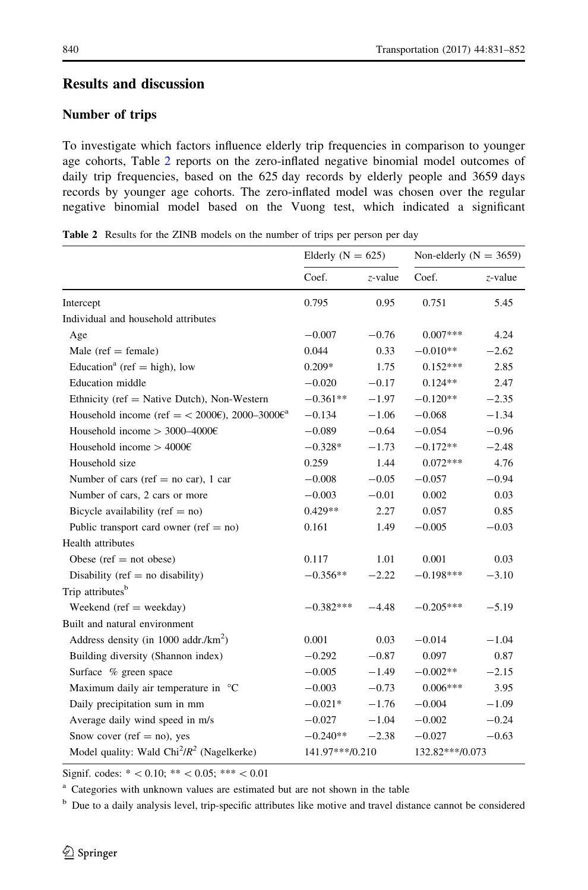## <span id="page-9-0"></span>Results and discussion

## Number of trips

To investigate which factors influence elderly trip frequencies in comparison to younger age cohorts, Table 2 reports on the zero-inflated negative binomial model outcomes of daily trip frequencies, based on the 625 day records by elderly people and 3659 days records by younger age cohorts. The zero-inflated model was chosen over the regular negative binomial model based on the Vuong test, which indicated a significant

| Table 2 Results for the ZINB models on the number of trips per person per day |  |  |  |
|-------------------------------------------------------------------------------|--|--|--|
|-------------------------------------------------------------------------------|--|--|--|

|                                                                       | Elderly ( $N = 625$ ) |         | Non-elderly $(N = 3659)$ |         |
|-----------------------------------------------------------------------|-----------------------|---------|--------------------------|---------|
|                                                                       | Coef.                 | z-value | Coef.                    | z-value |
| Intercept                                                             | 0.795                 | 0.95    | 0.751                    | 5.45    |
| Individual and household attributes                                   |                       |         |                          |         |
| Age                                                                   | $-0.007$              | $-0.76$ | $0.007***$               | 4.24    |
| Male ( $ref = female$ )                                               | 0.044                 | 0.33    | $-0.010**$               | $-2.62$ |
| Education <sup>a</sup> (ref = high), low                              | $0.209*$              | 1.75    | $0.152***$               | 2.85    |
| <b>Education</b> middle                                               | $-0.020$              | $-0.17$ | $0.124**$                | 2.47    |
| Ethnicity (ref = Native Dutch), Non-Western                           | $-0.361**$            | $-1.97$ | $-0.120**$               | $-2.35$ |
| Household income (ref = $<$ 2000 $\epsilon$ ), 2000–3000 $\epsilon^a$ | $-0.134$              | $-1.06$ | $-0.068$                 | $-1.34$ |
| Household income $> 3000-4000 \in$                                    | $-0.089$              | $-0.64$ | $-0.054$                 | $-0.96$ |
| Household income $> 4000 \in$                                         | $-0.328*$             | $-1.73$ | $-0.172**$               | $-2.48$ |
| Household size                                                        | 0.259                 | 1.44    | $0.072***$               | 4.76    |
| Number of cars (ref = no car), 1 car                                  | $-0.008$              | $-0.05$ | $-0.057$                 | $-0.94$ |
| Number of cars, 2 cars or more                                        | $-0.003$              | $-0.01$ | 0.002                    | 0.03    |
| Bicycle availability (ref = $no$ )                                    | $0.429**$             | 2.27    | 0.057                    | 0.85    |
| Public transport card owner (ref = $no$ )                             | 0.161                 | 1.49    | $-0.005$                 | $-0.03$ |
| Health attributes                                                     |                       |         |                          |         |
| Obese ( $ref = not obese$ )                                           | 0.117                 | 1.01    | 0.001                    | 0.03    |
| Disability ( $ref = no$ disability)                                   | $-0.356**$            | $-2.22$ | $-0.198***$              | $-3.10$ |
| Trip attributes <sup>b</sup>                                          |                       |         |                          |         |
| Weekend ( $ref = weekday$ )                                           | $-0.382***$           | $-4.48$ | $-0.205***$              | $-5.19$ |
| Built and natural environment                                         |                       |         |                          |         |
| Address density (in 1000 addr./ $km^2$ )                              | 0.001                 | 0.03    | $-0.014$                 | $-1.04$ |
| Building diversity (Shannon index)                                    | $-0.292$              | $-0.87$ | 0.097                    | 0.87    |
| Surface % green space                                                 | $-0.005$              | $-1.49$ | $-0.002**$               | $-2.15$ |
| Maximum daily air temperature in °C                                   | $-0.003$              | $-0.73$ | $0.006***$               | 3.95    |
| Daily precipitation sum in mm                                         | $-0.021*$             | $-1.76$ | $-0.004$                 | $-1.09$ |
| Average daily wind speed in m/s                                       | $-0.027$              | $-1.04$ | $-0.002$                 | $-0.24$ |
| Snow cover (ref = $no$ ), yes                                         | $-0.240**$            | $-2.38$ | $-0.027$                 | $-0.63$ |
| Model quality: Wald $Chi^2/R^2$ (Nagelkerke)                          | 141.97***/0.210       |         | 132.82***/0.073          |         |

Signif. codes:  $* < 0.10$ ;  $** < 0.05$ ;  $*** < 0.01$ 

<sup>a</sup> Categories with unknown values are estimated but are not shown in the table

<sup>b</sup> Due to a daily analysis level, trip-specific attributes like motive and travel distance cannot be considered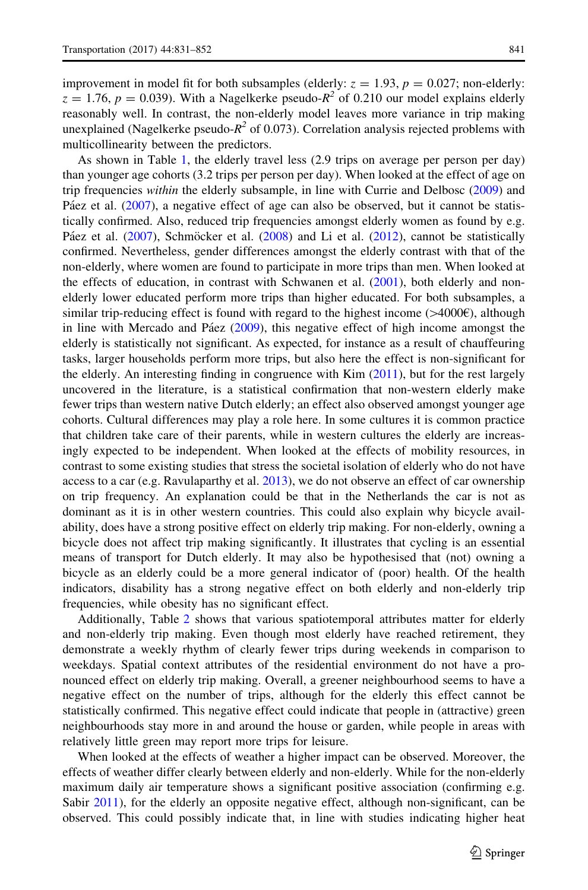improvement in model fit for both subsamples (elderly:  $z = 1.93$ ,  $p = 0.027$ ; non-elderly:  $z = 1.76$ ,  $p = 0.039$ ). With a Nagelkerke pseudo- $R^2$  of 0.210 our model explains elderly reasonably well. In contrast, the non-elderly model leaves more variance in trip making unexplained (Nagelkerke pseudo- $R^2$  of 0.073). Correlation analysis rejected problems with multicollinearity between the predictors.

As shown in Table [1,](#page-6-0) the elderly travel less (2.9 trips on average per person per day) than younger age cohorts (3.2 trips per person per day). When looked at the effect of age on trip frequencies within the elderly subsample, in line with Currie and Delbosc ([2009\)](#page-18-0) and Páez et al. ([2007\)](#page-20-0), a negative effect of age can also be observed, but it cannot be statistically confirmed. Also, reduced trip frequencies amongst elderly women as found by e.g. Páez et al.  $(2007)$  $(2007)$ , Schmöcker et al.  $(2008)$  $(2008)$  and Li et al.  $(2012)$  $(2012)$ , cannot be statistically confirmed. Nevertheless, gender differences amongst the elderly contrast with that of the non-elderly, where women are found to participate in more trips than men. When looked at the effects of education, in contrast with Schwanen et al. [\(2001](#page-20-0)), both elderly and nonelderly lower educated perform more trips than higher educated. For both subsamples, a similar trip-reducing effect is found with regard to the highest income ( $>4000 $\infty$ ), although$ in line with Mercado and Páez  $(2009)$  $(2009)$ , this negative effect of high income amongst the elderly is statistically not significant. As expected, for instance as a result of chauffeuring tasks, larger households perform more trips, but also here the effect is non-significant for the elderly. An interesting finding in congruence with Kim [\(2011](#page-19-0)), but for the rest largely uncovered in the literature, is a statistical confirmation that non-western elderly make fewer trips than western native Dutch elderly; an effect also observed amongst younger age cohorts. Cultural differences may play a role here. In some cultures it is common practice that children take care of their parents, while in western cultures the elderly are increasingly expected to be independent. When looked at the effects of mobility resources, in contrast to some existing studies that stress the societal isolation of elderly who do not have access to a car (e.g. Ravulaparthy et al. [2013](#page-20-0)), we do not observe an effect of car ownership on trip frequency. An explanation could be that in the Netherlands the car is not as dominant as it is in other western countries. This could also explain why bicycle availability, does have a strong positive effect on elderly trip making. For non-elderly, owning a bicycle does not affect trip making significantly. It illustrates that cycling is an essential means of transport for Dutch elderly. It may also be hypothesised that (not) owning a bicycle as an elderly could be a more general indicator of (poor) health. Of the health indicators, disability has a strong negative effect on both elderly and non-elderly trip frequencies, while obesity has no significant effect.

Additionally, Table [2](#page-9-0) shows that various spatiotemporal attributes matter for elderly and non-elderly trip making. Even though most elderly have reached retirement, they demonstrate a weekly rhythm of clearly fewer trips during weekends in comparison to weekdays. Spatial context attributes of the residential environment do not have a pronounced effect on elderly trip making. Overall, a greener neighbourhood seems to have a negative effect on the number of trips, although for the elderly this effect cannot be statistically confirmed. This negative effect could indicate that people in (attractive) green neighbourhoods stay more in and around the house or garden, while people in areas with relatively little green may report more trips for leisure.

When looked at the effects of weather a higher impact can be observed. Moreover, the effects of weather differ clearly between elderly and non-elderly. While for the non-elderly maximum daily air temperature shows a significant positive association (confirming e.g. Sabir [2011](#page-20-0)), for the elderly an opposite negative effect, although non-significant, can be observed. This could possibly indicate that, in line with studies indicating higher heat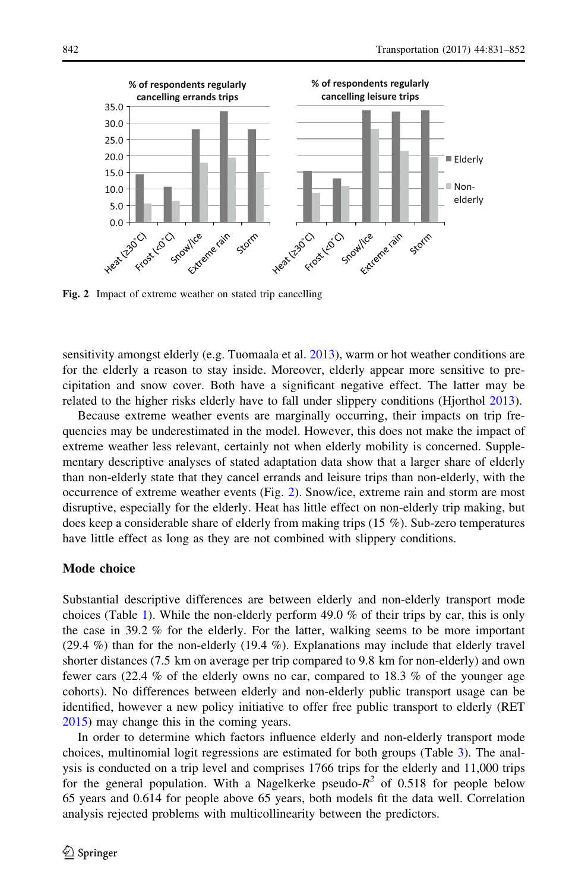

Fig. 2 Impact of extreme weather on stated trip cancelling

sensitivity amongst elderly (e.g. Tuomaala et al. [2013](#page-20-0)), warm or hot weather conditions are for the elderly a reason to stay inside. Moreover, elderly appear more sensitive to precipitation and snow cover. Both have a significant negative effect. The latter may be related to the higher risks elderly have to fall under slippery conditions (Hjorthol [2013](#page-19-0)).

Because extreme weather events are marginally occurring, their impacts on trip frequencies may be underestimated in the model. However, this does not make the impact of extreme weather less relevant, certainly not when elderly mobility is concerned. Supplementary descriptive analyses of stated adaptation data show that a larger share of elderly than non-elderly state that they cancel errands and leisure trips than non-elderly, with the occurrence of extreme weather events (Fig. 2). Snow/ice, extreme rain and storm are most disruptive, especially for the elderly. Heat has little effect on non-elderly trip making, but does keep a considerable share of elderly from making trips (15 %). Sub-zero temperatures have little effect as long as they are not combined with slippery conditions.

#### Mode choice

Substantial descriptive differences are between elderly and non-elderly transport mode choices (Table [1\)](#page-6-0). While the non-elderly perform 49.0 % of their trips by car, this is only the case in 39.2 % for the elderly. For the latter, walking seems to be more important (29.4 %) than for the non-elderly (19.4 %). Explanations may include that elderly travel shorter distances (7.5 km on average per trip compared to 9.8 km for non-elderly) and own fewer cars (22.4 % of the elderly owns no car, compared to 18.3 % of the younger age cohorts). No differences between elderly and non-elderly public transport usage can be identified, however a new policy initiative to offer free public transport to elderly (RET [2015\)](#page-20-0) may change this in the coming years.

In order to determine which factors influence elderly and non-elderly transport mode choices, multinomial logit regressions are estimated for both groups (Table [3\)](#page-12-0). The analysis is conducted on a trip level and comprises 1766 trips for the elderly and 11,000 trips for the general population. With a Nagelkerke pseudo- $R^2$  of 0.518 for people below 65 years and 0.614 for people above 65 years, both models fit the data well. Correlation analysis rejected problems with multicollinearity between the predictors.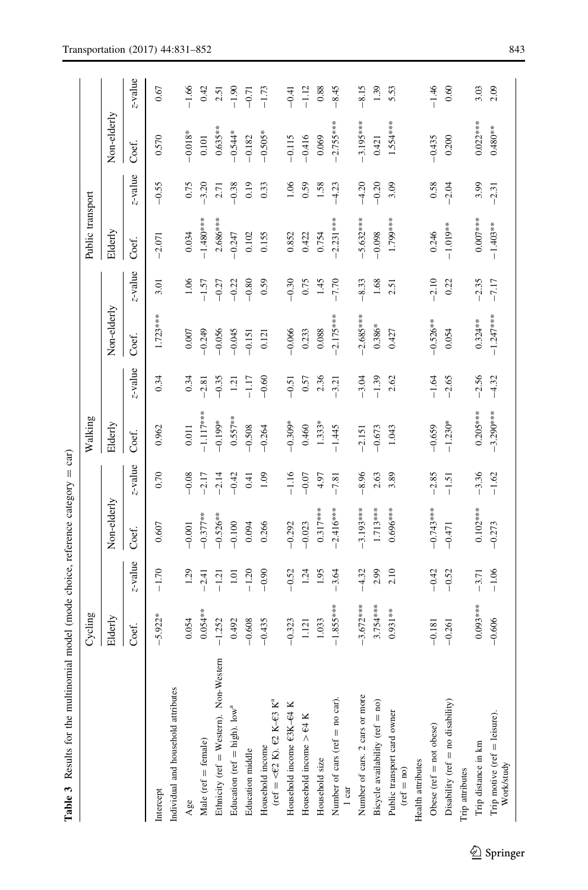| $\frac{1}{2}$                        |  |
|--------------------------------------|--|
| CONTY - CON                          |  |
| and contract of the contract of<br>: |  |
| $\ddot{\phantom{a}}$                 |  |
| ه ملدات                              |  |

<span id="page-12-0"></span>

|                                                                                                                 | Cycling     |            |             |         | Walking     |            |             |         | Public transport |         |             |            |
|-----------------------------------------------------------------------------------------------------------------|-------------|------------|-------------|---------|-------------|------------|-------------|---------|------------------|---------|-------------|------------|
|                                                                                                                 | Elderly     |            | Non-elderly |         | Elderly     |            | Non-elderly |         | Elderly          |         | Non-elderly |            |
|                                                                                                                 | Coef.       | $z$ -value | Coef.       | z-value | Coef.       | $z$ -value | Coef.       | z-value | Coef.            | z-value | Coef.       | $z$ -value |
| Intercept                                                                                                       | $-5.922*$   | $-1.70$    | 0.607       | 0.70    | 0.962       | 0.34       | $1.723***$  | 3.01    | $-2.071$         | $-0.55$ | 0.570       | 0.67       |
| Individual and household attributes                                                                             |             |            |             |         |             |            |             |         |                  |         |             |            |
| Age                                                                                                             | 0.054       | 1.29       | $-0.001$    | $-0.08$ | 0.011       | 0.34       | 0.007       | 1.06    | 0.034            | 0.75    | $-0.018*$   | $-1.66$    |
| $\text{Male (ref = female)}\\$                                                                                  | $0.054***$  | 2.41       | $-0.377**$  | 2.17    | $-1.117***$ | $-2.81$    | $-0.249$    | $-1.57$ | $-1.480***$      | $-3.20$ | $0.101\,$   | 0.42       |
| Ethnicity (ref = Western). Non-Western                                                                          | $-1.252$    | $-1.21$    | $-0.526**$  | 2.14    | $-0.199*$   | $-0.35$    | $-0.056$    | $-0.27$ | $2.686***$       | 2.71    | $0.635***$  | 2.51       |
| Education (ref = high). $low^a$                                                                                 | 0.492       | 1.01       | $-0.100$    | $-0.42$ | $0.557***$  | 1.21       | $-0.045$    | $-0.22$ | $-0.247$         | $-0.38$ | $-0.544*$   | $-1.90$    |
| Education middle                                                                                                | $-0.608$    | $-1.20$    | 0.094       | 0.41    | $-0.508$    | $-1.17$    | $-0.151$    | $-0.80$ | 0.102            | 0.19    | $-0.182$    | $-0.71$    |
| (ref = $\langle$ <e2 <math="" k).="">\epsilon2 K–<math>\epsilon</math>3 K<sup>a</sup><br/>Household income</e2> | $-0.435$    | $-0.90$    | 0.266       | 0.09    | $-0.264$    | $-0.60$    | 0.121       | 0.59    | 0.155            | 0.33    | $-0.505*$   | $-1.73$    |
| Household income €3K-€4 K                                                                                       | $-0.323$    | $-0.52$    | $-0.292$    | $-1.16$ | $-0.309*$   | $-0.51$    | $-0.066$    | $-0.30$ | 0.852            | 1.06    | $-0.115$    | $-0.41$    |
| Household income $> \theta 4$ K                                                                                 | 1.121       | 1.24       | $-0.023$    | $-0.07$ | 0.460       | 0.57       | 0.233       | 0.75    | 0.422            | 0.59    | $-0.416$    | $-1.12$    |
| Household size                                                                                                  | 1.033       | 1.95       | $0.317***$  | 4.97    | $1.333*$    | 2.36       | 0.088       | 1.45    | 0.754            | 1.58    | 0.069       | 0.88       |
| Number of cars (ref $=$ no car).<br>$1$ car                                                                     | $-1.855***$ | 3.64       | $-2.416***$ | $-7.81$ | $-1.445$    | 3.21       | $-2.175***$ | $-7.70$ | $-2.231***$      | $-4.23$ | $-2.755***$ | $-8.45$    |
| Number of cars. 2 cars or more                                                                                  | $-3.672***$ | 4.32       | $-3.193***$ | 8.96    | $-2.151$    | $-3.04$    | $-2.685***$ | $-8.33$ | $-5.632***$      | $-4.20$ | $-3.195***$ | $-8.15$    |
| Bicycle availability (ref = no)                                                                                 | $3.754***$  | 2.99       | $1.713***$  | 2.63    | $-0.673$    | $-1.39$    | $0.386*$    | 1.68    | $-0.098$         | $-0.20$ | 0.421       | 1.39       |
| Public transport card owner<br>$(\mathrm{ref} = \mathrm{no})$                                                   | $0.931***$  | 2.10       | $0.696***$  | 3.89    | 1.043       | 2.62       | 0.427       | 2.51    | 1.799***         | 3.09    | $1.554***$  | 5.53       |
| Health attributes                                                                                               |             |            |             |         |             |            |             |         |                  |         |             |            |
| Obese (ref = not obese)                                                                                         | $-0.181$    | $-0.42$    | $-0.743***$ | $-2.85$ | $-0.659$    | $-1.64$    | $-0.526**$  | $-2.10$ | 0.246            | 0.58    | $-0.435$    | $-1.46$    |
| Disability (ref = no disability)<br>Trip attributes                                                             | $-0.261$    | $-0.52$    | $-0.471$    | $-1.51$ | $-1.230*$   | $-2.65$    | 0.054       | 0.22    | $-1.019**$       | $-2.04$ | 0.200       | 0.60       |
| Trip distance in km                                                                                             | $0.093***$  | $-3.71$    | $0.102***$  | $-3.36$ | $0.205***$  | $-2.56$    | $0.324**$   | $-2.35$ | $0.007***$       | 3.99    | $0.022***$  | 3.03       |
| Trip motive (ref = leisure).<br>Work/study                                                                      | $-0.606$    | $-1.06$    | $-0.273$    | $-1.62$ | $-3.290***$ | $-4.32$    | $-1.247***$ | $-7.17$ | $-1.403**$       | $-2.31$ | $0.480**$   | 2.09       |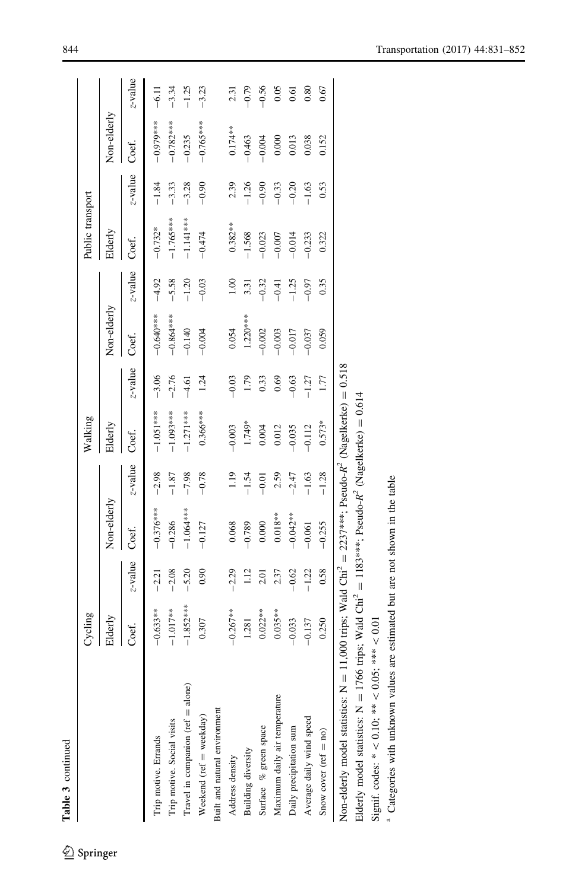| Ž<br>ι |
|--------|
| ₹      |
|        |

 $\underline{\textcircled{\tiny 2}}$  Springer

|                                     | Cycling                                                                              |         |             |         | Walking     |         |             |         | Public transport |         |             |         |
|-------------------------------------|--------------------------------------------------------------------------------------|---------|-------------|---------|-------------|---------|-------------|---------|------------------|---------|-------------|---------|
|                                     | Elderly                                                                              |         | Non-elderly |         | Elderly     |         | Non-elderly |         | Elderly          |         | Non-elderly |         |
|                                     | Coef.                                                                                | z-value | Coef.       | z-value | Coef.       | z-value | Coef.       | z-value | Coef.            | z-value | Coef.       | z-value |
| Trip motive. Errands                | $-0.633**$                                                                           | $-2.21$ | $-0.376***$ | $-2.98$ | $-1.051***$ | $-3.06$ | $-0.640***$ | $-4.92$ | $-0.732*$        | $-1.84$ | $-0.979***$ | $-6.11$ |
| Trip motive. Social visits          | $-1.017**$                                                                           | $-2.08$ | $-0.286$    | $-1.87$ | $-1.093***$ | $-2.76$ | $-0.864***$ | $-5.58$ | $-1.765***$      | $-3.33$ | $-0.782***$ | $-3.34$ |
| Travel in companion (ref $=$ alone) | $-1.852***$                                                                          | $-5.20$ | $-1.064***$ | $-7.98$ | $-1.271***$ | $-4.61$ | $-0.140$    | $-1.20$ | $-1.141***$      | $-3.28$ | $-0.235$    | $-1.25$ |
| Weekend (ref = weekday)             | 0.307                                                                                | 0.90    | $-0.127$    | $-0.78$ | $0.366***$  | 1.24    | $-0.004$    | $-0.03$ | $-0.474$         | $-0.90$ | $-0.765***$ | $-3.23$ |
| Built and natural environment       |                                                                                      |         |             |         |             |         |             |         |                  |         |             |         |
| Address density                     | $-0.267**$                                                                           | $-2.29$ | 0.068       | 1.19    | $-0.003$    | $-0.03$ | 0.054       | 00.1    | $0.382***$       | 2.39    | $0.174**$   | 2.31    |
| Building diversity                  | 1.281                                                                                | 1.12    | $-0.789$    | $-1.54$ | 1.749*      | 1.79    | $1.220***$  | 3.31    | $-1.568$         | $-1.26$ | $-0.463$    | $-0.79$ |
| Surface % green space               | $0.022**$                                                                            | 2.01    | 0.000       | $-0.01$ | 0.004       | 0.33    | $-0.002$    | $-0.32$ | $-0.023$         | $-0.90$ | $-0.004$    | $-0.56$ |
| Maximum daily air temperature       | $0.035***$                                                                           | 2.37    | $0.018**$   | 2.59    | 0.012       | 0.69    | $-0.003$    | $-0.41$ | $-0.007$         | $-0.33$ | 0.000       | 0.05    |
| Daily precipitation sum             | $-0.033$                                                                             | $-0.62$ | $-0.042**$  | $-2.47$ | $-0.035$    | $-0.63$ | $-0.017$    | $-1.25$ | $-0.014$         | $-0.20$ | 0.013       | 0.61    |
| Average daily wind speed            | $-0.137$                                                                             | $-1.22$ | $-0.061$    | $-1.63$ | $-0.112$    | $-1.27$ | $-0.037$    | $-0.97$ | $-0.233$         | $-1.63$ | 0.038       | 0.80    |
| Snow cover (ref $=$ no)             | 0.250                                                                                | 0.58    | $-0.255$    | $-1.28$ | $0.573*$    | 1.77    | 0.059       | 0.35    | 0.322            | 0.53    | 0.152       | 0.67    |
| Non-elderly model statistics: $N =$ | 11,000 trips; Wald Chi <sup>2</sup> = $2237***$ ; Pseudo- $R^2$ (Nagelkerke) = 0.518 |         |             |         |             |         |             |         |                  |         |             |         |

Elderly model statistics: N  $= 1766$  trips; Wald Chi<sup>2</sup> =  $1183***$ ; Pseudo- $R^2$  (Nagelkerke)  $= 0.614$ 

Signif. codes: \*  $< 0.10;$  \*\*  $< 0.05$ ; \*\*\* Signif. codes: \* < 0.10; \*\* < 0.05; \*\*\* < 0.01

<sup>a</sup> Categories with unknown values are estimated but are not shown in the table Categories with unknown values are estimated but are not shown in the table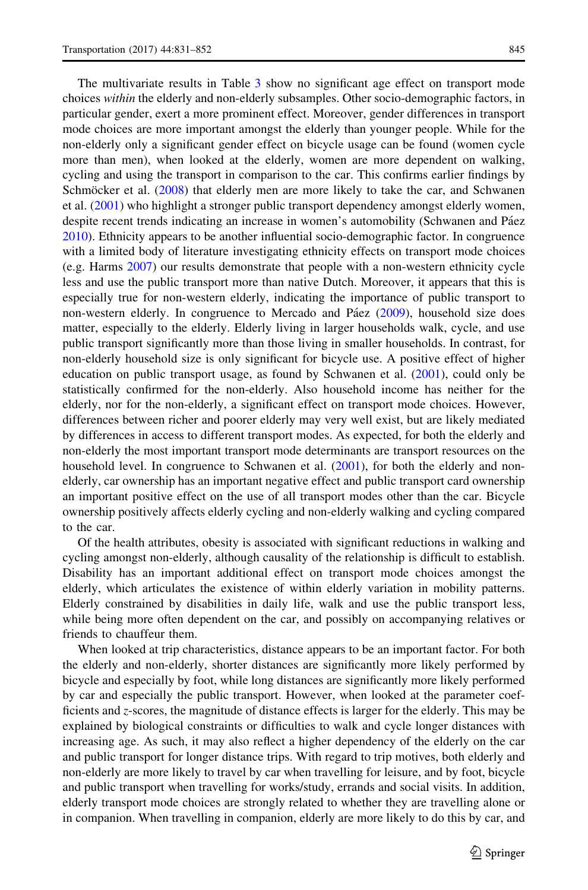The multivariate results in Table [3](#page-12-0) show no significant age effect on transport mode choices within the elderly and non-elderly subsamples. Other socio-demographic factors, in particular gender, exert a more prominent effect. Moreover, gender differences in transport mode choices are more important amongst the elderly than younger people. While for the non-elderly only a significant gender effect on bicycle usage can be found (women cycle more than men), when looked at the elderly, women are more dependent on walking, cycling and using the transport in comparison to the car. This confirms earlier findings by Schmöcker et al. ([2008\)](#page-20-0) that elderly men are more likely to take the car, and Schwanen et al. ([2001\)](#page-20-0) who highlight a stronger public transport dependency amongst elderly women, despite recent trends indicating an increase in women's automobility (Schwanen and Páez [2010\)](#page-20-0). Ethnicity appears to be another influential socio-demographic factor. In congruence with a limited body of literature investigating ethnicity effects on transport mode choices (e.g. Harms [2007\)](#page-19-0) our results demonstrate that people with a non-western ethnicity cycle less and use the public transport more than native Dutch. Moreover, it appears that this is especially true for non-western elderly, indicating the importance of public transport to non-western elderly. In congruence to Mercado and Páez [\(2009](#page-19-0)), household size does matter, especially to the elderly. Elderly living in larger households walk, cycle, and use public transport significantly more than those living in smaller households. In contrast, for non-elderly household size is only significant for bicycle use. A positive effect of higher education on public transport usage, as found by Schwanen et al. ([2001\)](#page-20-0), could only be statistically confirmed for the non-elderly. Also household income has neither for the elderly, nor for the non-elderly, a significant effect on transport mode choices. However, differences between richer and poorer elderly may very well exist, but are likely mediated by differences in access to different transport modes. As expected, for both the elderly and non-elderly the most important transport mode determinants are transport resources on the household level. In congruence to Schwanen et al. ([2001\)](#page-20-0), for both the elderly and nonelderly, car ownership has an important negative effect and public transport card ownership an important positive effect on the use of all transport modes other than the car. Bicycle ownership positively affects elderly cycling and non-elderly walking and cycling compared to the car.

Of the health attributes, obesity is associated with significant reductions in walking and cycling amongst non-elderly, although causality of the relationship is difficult to establish. Disability has an important additional effect on transport mode choices amongst the elderly, which articulates the existence of within elderly variation in mobility patterns. Elderly constrained by disabilities in daily life, walk and use the public transport less, while being more often dependent on the car, and possibly on accompanying relatives or friends to chauffeur them.

When looked at trip characteristics, distance appears to be an important factor. For both the elderly and non-elderly, shorter distances are significantly more likely performed by bicycle and especially by foot, while long distances are significantly more likely performed by car and especially the public transport. However, when looked at the parameter coefficients and z-scores, the magnitude of distance effects is larger for the elderly. This may be explained by biological constraints or difficulties to walk and cycle longer distances with increasing age. As such, it may also reflect a higher dependency of the elderly on the car and public transport for longer distance trips. With regard to trip motives, both elderly and non-elderly are more likely to travel by car when travelling for leisure, and by foot, bicycle and public transport when travelling for works/study, errands and social visits. In addition, elderly transport mode choices are strongly related to whether they are travelling alone or in companion. When travelling in companion, elderly are more likely to do this by car, and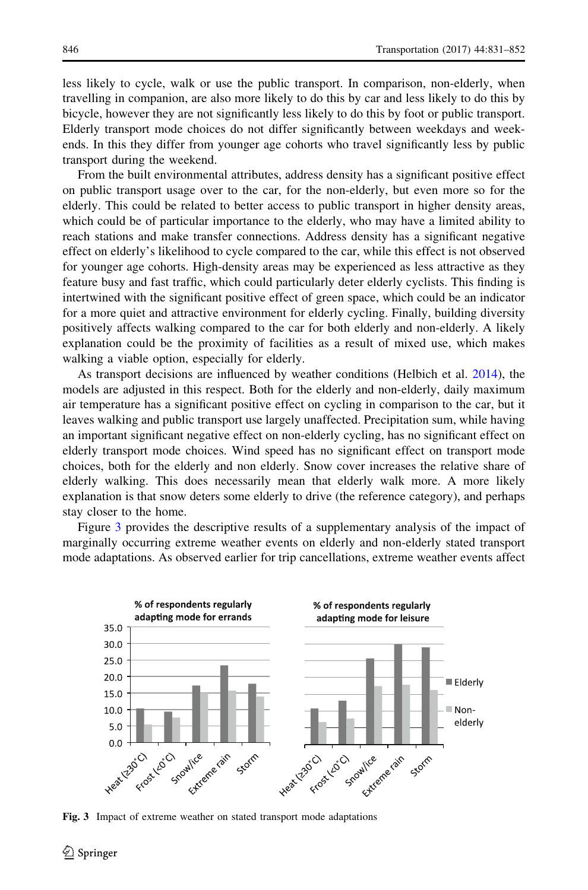less likely to cycle, walk or use the public transport. In comparison, non-elderly, when travelling in companion, are also more likely to do this by car and less likely to do this by bicycle, however they are not significantly less likely to do this by foot or public transport. Elderly transport mode choices do not differ significantly between weekdays and weekends. In this they differ from younger age cohorts who travel significantly less by public transport during the weekend.

From the built environmental attributes, address density has a significant positive effect on public transport usage over to the car, for the non-elderly, but even more so for the elderly. This could be related to better access to public transport in higher density areas, which could be of particular importance to the elderly, who may have a limited ability to reach stations and make transfer connections. Address density has a significant negative effect on elderly's likelihood to cycle compared to the car, while this effect is not observed for younger age cohorts. High-density areas may be experienced as less attractive as they feature busy and fast traffic, which could particularly deter elderly cyclists. This finding is intertwined with the significant positive effect of green space, which could be an indicator for a more quiet and attractive environment for elderly cycling. Finally, building diversity positively affects walking compared to the car for both elderly and non-elderly. A likely explanation could be the proximity of facilities as a result of mixed use, which makes walking a viable option, especially for elderly.

As transport decisions are influenced by weather conditions (Helbich et al. [2014](#page-19-0)), the models are adjusted in this respect. Both for the elderly and non-elderly, daily maximum air temperature has a significant positive effect on cycling in comparison to the car, but it leaves walking and public transport use largely unaffected. Precipitation sum, while having an important significant negative effect on non-elderly cycling, has no significant effect on elderly transport mode choices. Wind speed has no significant effect on transport mode choices, both for the elderly and non elderly. Snow cover increases the relative share of elderly walking. This does necessarily mean that elderly walk more. A more likely explanation is that snow deters some elderly to drive (the reference category), and perhaps stay closer to the home.

Figure 3 provides the descriptive results of a supplementary analysis of the impact of marginally occurring extreme weather events on elderly and non-elderly stated transport mode adaptations. As observed earlier for trip cancellations, extreme weather events affect



Fig. 3 Impact of extreme weather on stated transport mode adaptations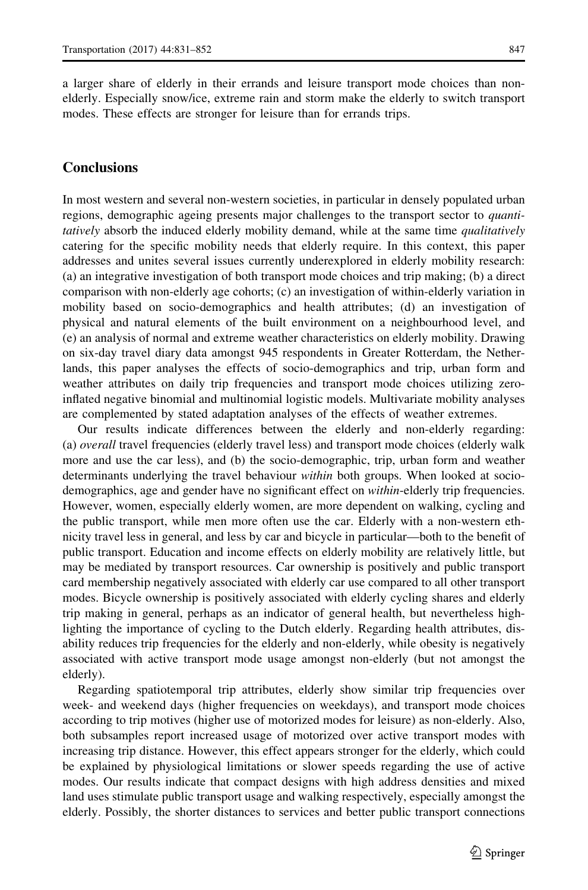<span id="page-16-0"></span>a larger share of elderly in their errands and leisure transport mode choices than nonelderly. Especially snow/ice, extreme rain and storm make the elderly to switch transport modes. These effects are stronger for leisure than for errands trips.

## Conclusions

In most western and several non-western societies, in particular in densely populated urban regions, demographic ageing presents major challenges to the transport sector to *quanti*tatively absorb the induced elderly mobility demand, while at the same time *qualitatively* catering for the specific mobility needs that elderly require. In this context, this paper addresses and unites several issues currently underexplored in elderly mobility research: (a) an integrative investigation of both transport mode choices and trip making; (b) a direct comparison with non-elderly age cohorts; (c) an investigation of within-elderly variation in mobility based on socio-demographics and health attributes; (d) an investigation of physical and natural elements of the built environment on a neighbourhood level, and (e) an analysis of normal and extreme weather characteristics on elderly mobility. Drawing on six-day travel diary data amongst 945 respondents in Greater Rotterdam, the Netherlands, this paper analyses the effects of socio-demographics and trip, urban form and weather attributes on daily trip frequencies and transport mode choices utilizing zeroinflated negative binomial and multinomial logistic models. Multivariate mobility analyses are complemented by stated adaptation analyses of the effects of weather extremes.

Our results indicate differences between the elderly and non-elderly regarding: (a) overall travel frequencies (elderly travel less) and transport mode choices (elderly walk more and use the car less), and (b) the socio-demographic, trip, urban form and weather determinants underlying the travel behaviour within both groups. When looked at sociodemographics, age and gender have no significant effect on *within-elderly* trip frequencies. However, women, especially elderly women, are more dependent on walking, cycling and the public transport, while men more often use the car. Elderly with a non-western ethnicity travel less in general, and less by car and bicycle in particular—both to the benefit of public transport. Education and income effects on elderly mobility are relatively little, but may be mediated by transport resources. Car ownership is positively and public transport card membership negatively associated with elderly car use compared to all other transport modes. Bicycle ownership is positively associated with elderly cycling shares and elderly trip making in general, perhaps as an indicator of general health, but nevertheless highlighting the importance of cycling to the Dutch elderly. Regarding health attributes, disability reduces trip frequencies for the elderly and non-elderly, while obesity is negatively associated with active transport mode usage amongst non-elderly (but not amongst the elderly).

Regarding spatiotemporal trip attributes, elderly show similar trip frequencies over week- and weekend days (higher frequencies on weekdays), and transport mode choices according to trip motives (higher use of motorized modes for leisure) as non-elderly. Also, both subsamples report increased usage of motorized over active transport modes with increasing trip distance. However, this effect appears stronger for the elderly, which could be explained by physiological limitations or slower speeds regarding the use of active modes. Our results indicate that compact designs with high address densities and mixed land uses stimulate public transport usage and walking respectively, especially amongst the elderly. Possibly, the shorter distances to services and better public transport connections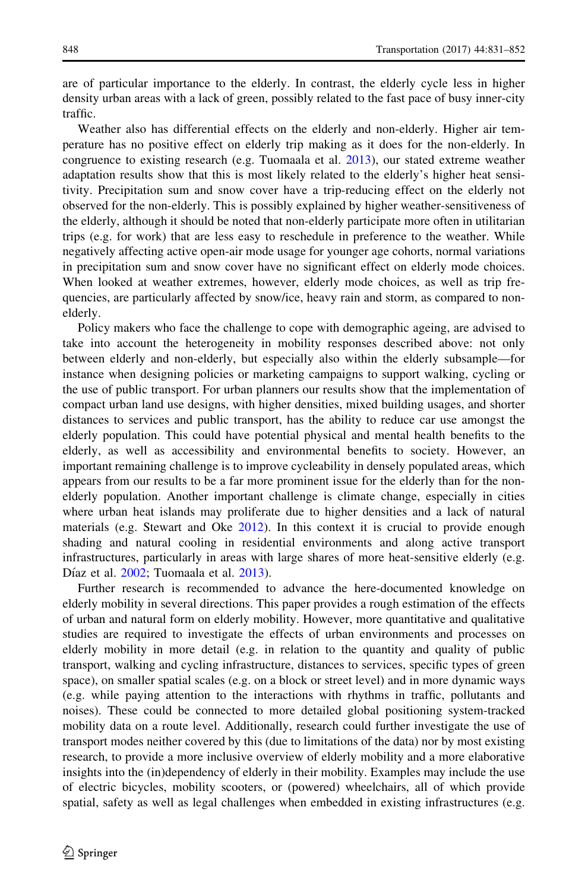are of particular importance to the elderly. In contrast, the elderly cycle less in higher density urban areas with a lack of green, possibly related to the fast pace of busy inner-city traffic.

Weather also has differential effects on the elderly and non-elderly. Higher air temperature has no positive effect on elderly trip making as it does for the non-elderly. In congruence to existing research (e.g. Tuomaala et al. [2013\)](#page-20-0), our stated extreme weather adaptation results show that this is most likely related to the elderly's higher heat sensitivity. Precipitation sum and snow cover have a trip-reducing effect on the elderly not observed for the non-elderly. This is possibly explained by higher weather-sensitiveness of the elderly, although it should be noted that non-elderly participate more often in utilitarian trips (e.g. for work) that are less easy to reschedule in preference to the weather. While negatively affecting active open-air mode usage for younger age cohorts, normal variations in precipitation sum and snow cover have no significant effect on elderly mode choices. When looked at weather extremes, however, elderly mode choices, as well as trip frequencies, are particularly affected by snow/ice, heavy rain and storm, as compared to nonelderly.

Policy makers who face the challenge to cope with demographic ageing, are advised to take into account the heterogeneity in mobility responses described above: not only between elderly and non-elderly, but especially also within the elderly subsample—for instance when designing policies or marketing campaigns to support walking, cycling or the use of public transport. For urban planners our results show that the implementation of compact urban land use designs, with higher densities, mixed building usages, and shorter distances to services and public transport, has the ability to reduce car use amongst the elderly population. This could have potential physical and mental health benefits to the elderly, as well as accessibility and environmental benefits to society. However, an important remaining challenge is to improve cycleability in densely populated areas, which appears from our results to be a far more prominent issue for the elderly than for the nonelderly population. Another important challenge is climate change, especially in cities where urban heat islands may proliferate due to higher densities and a lack of natural materials (e.g. Stewart and Oke  $2012$ ). In this context it is crucial to provide enough shading and natural cooling in residential environments and along active transport infrastructures, particularly in areas with large shares of more heat-sensitive elderly (e.g. Díaz et al. [2002](#page-18-0); Tuomaala et al. [2013\)](#page-20-0).

Further research is recommended to advance the here-documented knowledge on elderly mobility in several directions. This paper provides a rough estimation of the effects of urban and natural form on elderly mobility. However, more quantitative and qualitative studies are required to investigate the effects of urban environments and processes on elderly mobility in more detail (e.g. in relation to the quantity and quality of public transport, walking and cycling infrastructure, distances to services, specific types of green space), on smaller spatial scales (e.g. on a block or street level) and in more dynamic ways (e.g. while paying attention to the interactions with rhythms in traffic, pollutants and noises). These could be connected to more detailed global positioning system-tracked mobility data on a route level. Additionally, research could further investigate the use of transport modes neither covered by this (due to limitations of the data) nor by most existing research, to provide a more inclusive overview of elderly mobility and a more elaborative insights into the (in)dependency of elderly in their mobility. Examples may include the use of electric bicycles, mobility scooters, or (powered) wheelchairs, all of which provide spatial, safety as well as legal challenges when embedded in existing infrastructures (e.g.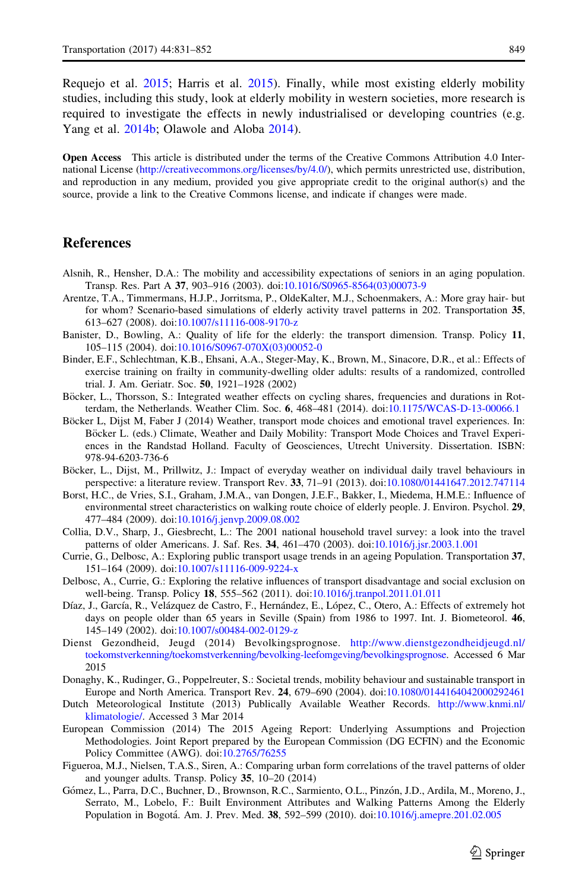<span id="page-18-0"></span>Requejo et al. [2015](#page-20-0); Harris et al. [2015](#page-19-0)). Finally, while most existing elderly mobility studies, including this study, look at elderly mobility in western societies, more research is required to investigate the effects in newly industrialised or developing countries (e.g. Yang et al. [2014b;](#page-21-0) Olawole and Aloba [2014\)](#page-20-0).

Open Access This article is distributed under the terms of the Creative Commons Attribution 4.0 International License [\(http://creativecommons.org/licenses/by/4.0/\)](http://creativecommons.org/licenses/by/4.0/), which permits unrestricted use, distribution, and reproduction in any medium, provided you give appropriate credit to the original author(s) and the source, provide a link to the Creative Commons license, and indicate if changes were made.

## References

- Alsnih, R., Hensher, D.A.: The mobility and accessibility expectations of seniors in an aging population. Transp. Res. Part A 37, 903–916 (2003). doi[:10.1016/S0965-8564\(03\)00073-9](http://dx.doi.org/10.1016/S0965-8564(03)00073-9)
- Arentze, T.A., Timmermans, H.J.P., Jorritsma, P., OldeKalter, M.J., Schoenmakers, A.: More gray hair- but for whom? Scenario-based simulations of elderly activity travel patterns in 202. Transportation 35, 613–627 (2008). doi[:10.1007/s11116-008-9170-z](http://dx.doi.org/10.1007/s11116-008-9170-z)
- Banister, D., Bowling, A.: Quality of life for the elderly: the transport dimension. Transp. Policy 11, 105–115 (2004). doi[:10.1016/S0967-070X\(03\)00052-0](http://dx.doi.org/10.1016/S0967-070X(03)00052-0)
- Binder, E.F., Schlechtman, K.B., Ehsani, A.A., Steger-May, K., Brown, M., Sinacore, D.R., et al.: Effects of exercise training on frailty in community-dwelling older adults: results of a randomized, controlled trial. J. Am. Geriatr. Soc. 50, 1921–1928 (2002)
- Böcker, L., Thorsson, S.: Integrated weather effects on cycling shares, frequencies and durations in Rotterdam, the Netherlands. Weather Clim. Soc. 6, 468–481 (2014). doi[:10.1175/WCAS-D-13-00066.1](http://dx.doi.org/10.1175/WCAS-D-13-00066.1)
- Böcker L, Dijst M, Faber J (2014) Weather, transport mode choices and emotional travel experiences. In: Böcker L. (eds.) Climate, Weather and Daily Mobility: Transport Mode Choices and Travel Experiences in the Randstad Holland. Faculty of Geosciences, Utrecht University. Dissertation. ISBN: 978-94-6203-736-6
- Böcker, L., Dijst, M., Prillwitz, J.: Impact of everyday weather on individual daily travel behaviours in perspective: a literature review. Transport Rev. 33, 71–91 (2013). doi[:10.1080/01441647.2012.747114](http://dx.doi.org/10.1080/01441647.2012.747114)
- Borst, H.C., de Vries, S.I., Graham, J.M.A., van Dongen, J.E.F., Bakker, I., Miedema, H.M.E.: Influence of environmental street characteristics on walking route choice of elderly people. J. Environ. Psychol. 29, 477–484 (2009). doi[:10.1016/j.jenvp.2009.08.002](http://dx.doi.org/10.1016/j.jenvp.2009.08.002)
- Collia, D.V., Sharp, J., Giesbrecht, L.: The 2001 national household travel survey: a look into the travel patterns of older Americans. J. Saf. Res. 34, 461–470 (2003). doi[:10.1016/j.jsr.2003.1.001](http://dx.doi.org/10.1016/j.jsr.2003.1.001)
- Currie, G., Delbosc, A.: Exploring public transport usage trends in an ageing Population. Transportation 37, 151–164 (2009). doi[:10.1007/s11116-009-9224-x](http://dx.doi.org/10.1007/s11116-009-9224-x)
- Delbosc, A., Currie, G.: Exploring the relative influences of transport disadvantage and social exclusion on well-being. Transp. Policy 18, 555-562 (2011). doi:[10.1016/j.tranpol.2011.01.011](http://dx.doi.org/10.1016/j.tranpol.2011.01.011)
- Díaz, J., García, R., Velázquez de Castro, F., Hernández, E., López, C., Otero, A.: Effects of extremely hot days on people older than 65 years in Seville (Spain) from 1986 to 1997. Int. J. Biometeorol. 46, 145–149 (2002). doi[:10.1007/s00484-002-0129-z](http://dx.doi.org/10.1007/s00484-002-0129-z)
- Dienst Gezondheid, Jeugd (2014) Bevolkingsprognose. [http://www.dienstgezondheidjeugd.nl/](http://www.dienstgezondheidjeugd.nl/toekomstverkenning/toekomstverkenning/bevolking-leefomgeving/bevolkingsprognose) [toekomstverkenning/toekomstverkenning/bevolking-leefomgeving/bevolkingsprognose.](http://www.dienstgezondheidjeugd.nl/toekomstverkenning/toekomstverkenning/bevolking-leefomgeving/bevolkingsprognose) Accessed 6 Mar 2015
- Donaghy, K., Rudinger, G., Poppelreuter, S.: Societal trends, mobility behaviour and sustainable transport in Europe and North America. Transport Rev. 24, 679–690 (2004). doi[:10.1080/0144164042000292461](http://dx.doi.org/10.1080/0144164042000292461)
- Dutch Meteorological Institute (2013) Publically Available Weather Records. [http://www.knmi.nl/](http://www.knmi.nl/klimatologie/) [klimatologie/](http://www.knmi.nl/klimatologie/). Accessed 3 Mar 2014
- European Commission (2014) The 2015 Ageing Report: Underlying Assumptions and Projection Methodologies. Joint Report prepared by the European Commission (DG ECFIN) and the Economic Policy Committee (AWG). doi[:10.2765/76255](http://dx.doi.org/10.2765/76255)
- Figueroa, M.J., Nielsen, T.A.S., Siren, A.: Comparing urban form correlations of the travel patterns of older and younger adults. Transp. Policy 35, 10–20 (2014)
- Gómez, L., Parra, D.C., Buchner, D., Brownson, R.C., Sarmiento, O.L., Pinzón, J.D., Ardila, M., Moreno, J., Serrato, M., Lobelo, F.: Built Environment Attributes and Walking Patterns Among the Elderly Population in Bogota´. Am. J. Prev. Med. 38, 592–599 (2010). doi[:10.1016/j.amepre.201.02.005](http://dx.doi.org/10.1016/j.amepre.201.02.005)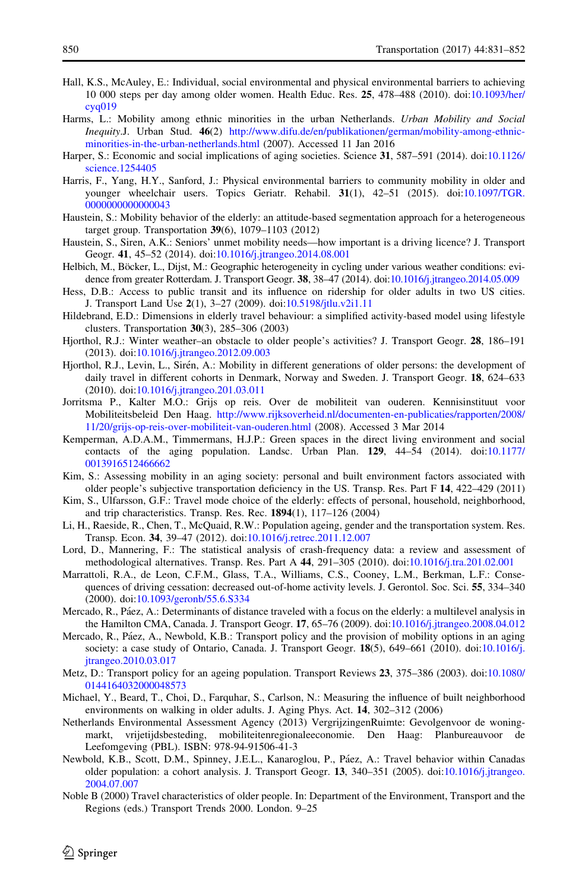- <span id="page-19-0"></span>Hall, K.S., McAuley, E.: Individual, social environmental and physical environmental barriers to achieving 10 000 steps per day among older women. Health Educ. Res. 25, 478–488 (2010). doi[:10.1093/her/](http://dx.doi.org/10.1093/her/cyq019) [cyq019](http://dx.doi.org/10.1093/her/cyq019)
- Harms, L.: Mobility among ethnic minorities in the urban Netherlands. Urban Mobility and Social Inequity.J. Urban Stud. 46(2) [http://www.difu.de/en/publikationen/german/mobility-among-ethnic](http://www.difu.de/en/publikationen/german/mobility-among-ethnic-minorities-in-the-urban-netherlands.html)[minorities-in-the-urban-netherlands.html](http://www.difu.de/en/publikationen/german/mobility-among-ethnic-minorities-in-the-urban-netherlands.html) (2007). Accessed 11 Jan 2016
- Harper, S.: Economic and social implications of aging societies. Science 31, 587–591 (2014). doi:[10.1126/](http://dx.doi.org/10.1126/science.1254405) [science.1254405](http://dx.doi.org/10.1126/science.1254405)
- Harris, F., Yang, H.Y., Sanford, J.: Physical environmental barriers to community mobility in older and younger wheelchair users. Topics Geriatr. Rehabil. 31(1), 42–51 (2015). doi:[10.1097/TGR.](http://dx.doi.org/10.1097/TGR.0000000000000043) [0000000000000043](http://dx.doi.org/10.1097/TGR.0000000000000043)
- Haustein, S.: Mobility behavior of the elderly: an attitude-based segmentation approach for a heterogeneous target group. Transportation 39(6), 1079–1103 (2012)
- Haustein, S., Siren, A.K.: Seniors' unmet mobility needs—how important is a driving licence? J. Transport Geogr. 41, 45–52 (2014). doi:[10.1016/j.jtrangeo.2014.08.001](http://dx.doi.org/10.1016/j.jtrangeo.2014.08.001)
- Helbich, M., Böcker, L., Dijst, M.: Geographic heterogeneity in cycling under various weather conditions: evidence from greater Rotterdam. J. Transport Geogr. 38, 38–47 (2014). doi:[10.1016/j.jtrangeo.2014.05.009](http://dx.doi.org/10.1016/j.jtrangeo.2014.05.009)
- Hess, D.B.: Access to public transit and its influence on ridership for older adults in two US cities. J. Transport Land Use 2(1), 3–27 (2009). doi:[10.5198/jtlu.v2i1.11](http://dx.doi.org/10.5198/jtlu.v2i1.11)
- Hildebrand, E.D.: Dimensions in elderly travel behaviour: a simplified activity-based model using lifestyle clusters. Transportation 30(3), 285–306 (2003)
- Hjorthol, R.J.: Winter weather–an obstacle to older people's activities? J. Transport Geogr. 28, 186–191 (2013). doi[:10.1016/j.jtrangeo.2012.09.003](http://dx.doi.org/10.1016/j.jtrangeo.2012.09.003)
- Hjorthol, R.J., Levin, L., Sirén, A.: Mobility in different generations of older persons: the development of daily travel in different cohorts in Denmark, Norway and Sweden. J. Transport Geogr. 18, 624–633 (2010). doi[:10.1016/j.jtrangeo.201.03.011](http://dx.doi.org/10.1016/j.jtrangeo.201.03.011)
- Jorritsma P., Kalter M.O.: Grijs op reis. Over de mobiliteit van ouderen. Kennisinstituut voor Mobiliteitsbeleid Den Haag. [http://www.rijksoverheid.nl/documenten-en-publicaties/rapporten/2008/](http://www.rijksoverheid.nl/documenten-en-publicaties/rapporten/2008/11/20/grijs-op-reis-over-mobiliteit-van-ouderen.html) [11/20/grijs-op-reis-over-mobiliteit-van-ouderen.html](http://www.rijksoverheid.nl/documenten-en-publicaties/rapporten/2008/11/20/grijs-op-reis-over-mobiliteit-van-ouderen.html) (2008). Accessed 3 Mar 2014
- Kemperman, A.D.A.M., Timmermans, H.J.P.: Green spaces in the direct living environment and social contacts of the aging population. Landsc. Urban Plan.  $129$ ,  $44-\overline{5}4$  (2014). doi:[10.1177/](http://dx.doi.org/10.1177/0013916512466662) [0013916512466662](http://dx.doi.org/10.1177/0013916512466662)
- Kim, S.: Assessing mobility in an aging society: personal and built environment factors associated with older people's subjective transportation deficiency in the US. Transp. Res. Part F 14, 422–429 (2011)
- Kim, S., Ulfarsson, G.F.: Travel mode choice of the elderly: effects of personal, household, neighborhood, and trip characteristics. Transp. Res. Rec. 1894(1), 117–126 (2004)
- Li, H., Raeside, R., Chen, T., McQuaid, R.W.: Population ageing, gender and the transportation system. Res. Transp. Econ. 34, 39–47 (2012). doi:[10.1016/j.retrec.2011.12.007](http://dx.doi.org/10.1016/j.retrec.2011.12.007)
- Lord, D., Mannering, F.: The statistical analysis of crash-frequency data: a review and assessment of methodological alternatives. Transp. Res. Part A 44, 291–305 (2010). doi[:10.1016/j.tra.201.02.001](http://dx.doi.org/10.1016/j.tra.201.02.001)
- Marrattoli, R.A., de Leon, C.F.M., Glass, T.A., Williams, C.S., Cooney, L.M., Berkman, L.F.: Consequences of driving cessation: decreased out-of-home activity levels. J. Gerontol. Soc. Sci. 55, 334–340 (2000). doi[:10.1093/geronb/55.6.S334](http://dx.doi.org/10.1093/geronb/55.6.S334)
- Mercado, R., Páez, A.: Determinants of distance traveled with a focus on the elderly: a multilevel analysis in the Hamilton CMA, Canada. J. Transport Geogr. 17, 65–76 (2009). doi[:10.1016/j.jtrangeo.2008.04.012](http://dx.doi.org/10.1016/j.jtrangeo.2008.04.012)
- Mercado, R., Páez, A., Newbold, K.B.: Transport policy and the provision of mobility options in an aging society: a case study of Ontario, Canada. J. Transport Geogr. 18(5), 649–661 (2010). doi[:10.1016/j.](http://dx.doi.org/10.1016/j.jtrangeo.2010.03.017) [jtrangeo.2010.03.017](http://dx.doi.org/10.1016/j.jtrangeo.2010.03.017)
- Metz, D.: Transport policy for an ageing population. Transport Reviews 23, 375-386 (2003). doi:[10.1080/](http://dx.doi.org/10.1080/0144164032000048573) [0144164032000048573](http://dx.doi.org/10.1080/0144164032000048573)
- Michael, Y., Beard, T., Choi, D., Farquhar, S., Carlson, N.: Measuring the influence of built neighborhood environments on walking in older adults. J. Aging Phys. Act. 14, 302–312 (2006)
- Netherlands Environmental Assessment Agency (2013) VergrijzingenRuimte: Gevolgenvoor de woningmarkt, vrijetijdsbesteding, mobiliteitenregionaleeconomie. Den Haag: Planbureauvoor de Leefomgeving (PBL). ISBN: 978-94-91506-41-3
- Newbold, K.B., Scott, D.M., Spinney, J.E.L., Kanaroglou, P., Páez, A.: Travel behavior within Canadas older population: a cohort analysis. J. Transport Geogr. 13, 340–351 (2005). doi[:10.1016/j.jtrangeo.](http://dx.doi.org/10.1016/j.jtrangeo.2004.07.007) [2004.07.007](http://dx.doi.org/10.1016/j.jtrangeo.2004.07.007)
- Noble B (2000) Travel characteristics of older people. In: Department of the Environment, Transport and the Regions (eds.) Transport Trends 2000. London. 9–25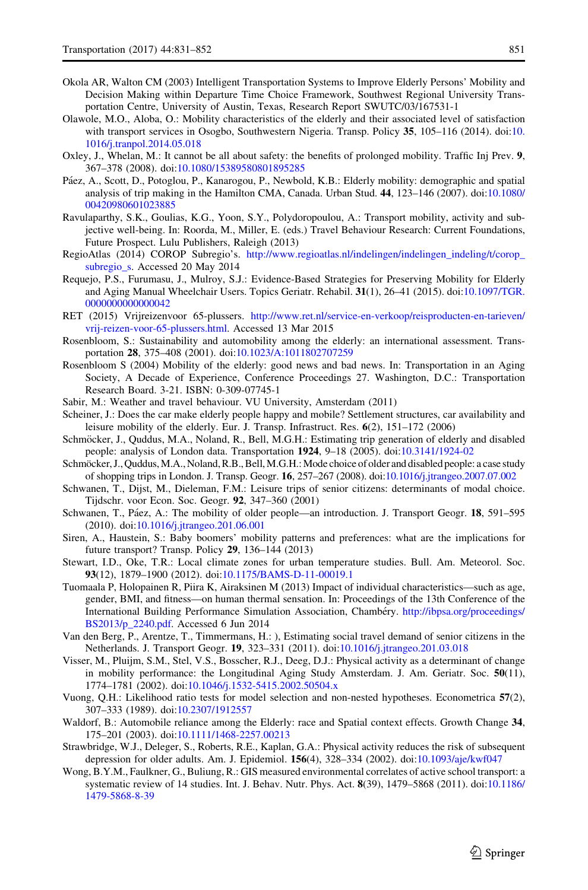- <span id="page-20-0"></span>Okola AR, Walton CM (2003) Intelligent Transportation Systems to Improve Elderly Persons' Mobility and Decision Making within Departure Time Choice Framework, Southwest Regional University Transportation Centre, University of Austin, Texas, Research Report SWUTC/03/167531-1
- Olawole, M.O., Aloba, O.: Mobility characteristics of the elderly and their associated level of satisfaction with transport services in Osogbo, Southwestern Nigeria. Transp. Policy 35, 105-116 (2014). doi:[10.](http://dx.doi.org/10.1016/j.tranpol.2014.05.018) [1016/j.tranpol.2014.05.018](http://dx.doi.org/10.1016/j.tranpol.2014.05.018)
- Oxley, J., Whelan, M.: It cannot be all about safety: the benefits of prolonged mobility. Traffic Inj Prev. 9, 367–378 (2008). doi[:10.1080/15389580801895285](http://dx.doi.org/10.1080/15389580801895285)
- Páez, A., Scott, D., Potoglou, P., Kanarogou, P., Newbold, K.B.: Elderly mobility: demographic and spatial analysis of trip making in the Hamilton CMA, Canada. Urban Stud. 44, 123–146 (2007). doi:[10.1080/](http://dx.doi.org/10.1080/00420980601023885) [00420980601023885](http://dx.doi.org/10.1080/00420980601023885)
- Ravulaparthy, S.K., Goulias, K.G., Yoon, S.Y., Polydoropoulou, A.: Transport mobility, activity and subjective well-being. In: Roorda, M., Miller, E. (eds.) Travel Behaviour Research: Current Foundations, Future Prospect. Lulu Publishers, Raleigh (2013)
- RegioAtlas (2014) COROP Subregio's. [http://www.regioatlas.nl/indelingen/indelingen\\_indeling/t/corop\\_](http://www.regioatlas.nl/indelingen/indelingen_indeling/t/corop_subregio_s) subregio s. Accessed 20 May 2014
- Requejo, P.S., Furumasu, J., Mulroy, S.J.: Evidence-Based Strategies for Preserving Mobility for Elderly and Aging Manual Wheelchair Users. Topics Geriatr. Rehabil. 31(1), 26–41 (2015). doi:[10.1097/TGR.](http://dx.doi.org/10.1097/TGR.0000000000000042) [0000000000000042](http://dx.doi.org/10.1097/TGR.0000000000000042)
- RET (2015) Vrijreizenvoor 65-plussers. [http://www.ret.nl/service-en-verkoop/reisproducten-en-tarieven/](http://www.ret.nl/service-en-verkoop/reisproducten-en-tarieven/vrij-reizen-voor-65-plussers.html) [vrij-reizen-voor-65-plussers.html.](http://www.ret.nl/service-en-verkoop/reisproducten-en-tarieven/vrij-reizen-voor-65-plussers.html) Accessed 13 Mar 2015
- Rosenbloom, S.: Sustainability and automobility among the elderly: an international assessment. Transportation 28, 375–408 (2001). doi:[10.1023/A:1011802707259](http://dx.doi.org/10.1023/A:1011802707259)
- Rosenbloom S (2004) Mobility of the elderly: good news and bad news. In: Transportation in an Aging Society, A Decade of Experience, Conference Proceedings 27. Washington, D.C.: Transportation Research Board. 3-21. ISBN: 0-309-07745-1
- Sabir, M.: Weather and travel behaviour. VU University, Amsterdam (2011)
- Scheiner, J.: Does the car make elderly people happy and mobile? Settlement structures, car availability and leisure mobility of the elderly. Eur. J. Transp. Infrastruct. Res. 6(2), 151–172 (2006)
- Schmöcker, J., Quddus, M.A., Noland, R., Bell, M.G.H.: Estimating trip generation of elderly and disabled people: analysis of London data. Transportation 1924, 9–18 (2005). doi:[10.3141/1924-02](http://dx.doi.org/10.3141/1924-02)
- Schmöcker, J., Quddus, M.A., Noland, R.B., Bell, M.G.H.: Mode choice of older and disabled people: a case study of shopping trips in London. J. Transp. Geogr. 16, 257–267 (2008). doi[:10.1016/j.jtrangeo.2007.07.002](http://dx.doi.org/10.1016/j.jtrangeo.2007.07.002)
- Schwanen, T., Dijst, M., Dieleman, F.M.: Leisure trips of senior citizens: determinants of modal choice. Tijdschr. voor Econ. Soc. Geogr. 92, 347–360 (2001)
- Schwanen, T., Páez, A.: The mobility of older people—an introduction. J. Transport Geogr. 18, 591–595 (2010). doi[:10.1016/j.jtrangeo.201.06.001](http://dx.doi.org/10.1016/j.jtrangeo.201.06.001)
- Siren, A., Haustein, S.: Baby boomers' mobility patterns and preferences: what are the implications for future transport? Transp. Policy 29, 136–144 (2013)
- Stewart, I.D., Oke, T.R.: Local climate zones for urban temperature studies. Bull. Am. Meteorol. Soc. 93(12), 1879–1900 (2012). doi[:10.1175/BAMS-D-11-00019.1](http://dx.doi.org/10.1175/BAMS-D-11-00019.1)
- Tuomaala P, Holopainen R, Piira K, Airaksinen M (2013) Impact of individual characteristics—such as age, gender, BMI, and fitness—on human thermal sensation. In: Proceedings of the 13th Conference of the International Building Performance Simulation Association, Chambéry. [http://ibpsa.org/proceedings/](http://ibpsa.org/proceedings/BS2013/p_2240.pdf) [BS2013/p\\_2240.pdf](http://ibpsa.org/proceedings/BS2013/p_2240.pdf). Accessed 6 Jun 2014
- Van den Berg, P., Arentze, T., Timmermans, H.: ), Estimating social travel demand of senior citizens in the Netherlands. J. Transport Geogr. 19, 323–331 (2011). doi[:10.1016/j.jtrangeo.201.03.018](http://dx.doi.org/10.1016/j.jtrangeo.201.03.018)
- Visser, M., Pluijm, S.M., Stel, V.S., Bosscher, R.J., Deeg, D.J.: Physical activity as a determinant of change in mobility performance: the Longitudinal Aging Study Amsterdam. J. Am. Geriatr. Soc. 50(11), 1774–1781 (2002). doi[:10.1046/j.1532-5415.2002.50504.x](http://dx.doi.org/10.1046/j.1532-5415.2002.50504.x)
- Vuong, Q.H.: Likelihood ratio tests for model selection and non-nested hypotheses. Econometrica 57(2), 307–333 (1989). doi[:10.2307/1912557](http://dx.doi.org/10.2307/1912557)
- Waldorf, B.: Automobile reliance among the Elderly: race and Spatial context effects. Growth Change 34, 175–201 (2003). doi[:10.1111/1468-2257.00213](http://dx.doi.org/10.1111/1468-2257.00213)
- Strawbridge, W.J., Deleger, S., Roberts, R.E., Kaplan, G.A.: Physical activity reduces the risk of subsequent depression for older adults. Am. J. Epidemiol. 156(4), 328–334 (2002). doi:[10.1093/aje/kwf047](http://dx.doi.org/10.1093/aje/kwf047)
- Wong, B.Y.M., Faulkner, G., Buliung, R.: GIS measured environmental correlates of active school transport: a systematic review of 14 studies. Int. J. Behav. Nutr. Phys. Act. 8(39), 1479–5868 (2011). doi:[10.1186/](http://dx.doi.org/10.1186/1479-5868-8-39) [1479-5868-8-39](http://dx.doi.org/10.1186/1479-5868-8-39)